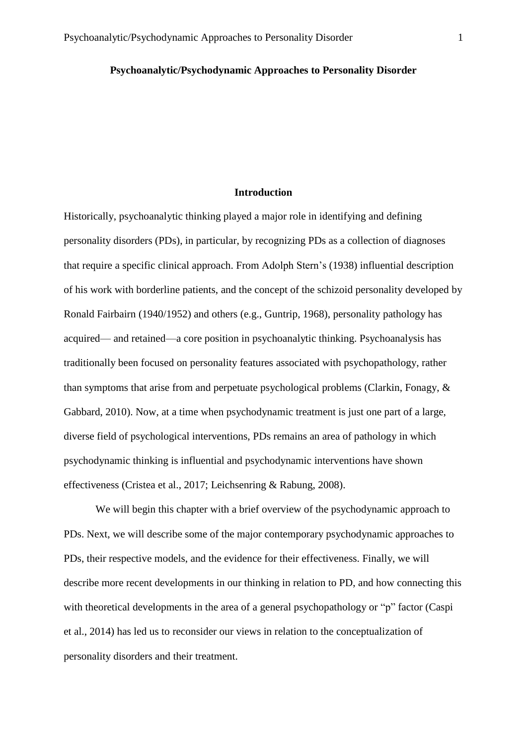## **Psychoanalytic/Psychodynamic Approaches to Personality Disorder**

#### **Introduction**

Historically, psychoanalytic thinking played a major role in identifying and defining personality disorders (PDs), in particular, by recognizing PDs as a collection of diagnoses that require a specific clinical approach. From Adolph Stern's (1938) influential description of his work with borderline patients, and the concept of the schizoid personality developed by Ronald Fairbairn (1940/1952) and others (e.g., Guntrip, 1968), personality pathology has acquired— and retained—a core position in psychoanalytic thinking. Psychoanalysis has traditionally been focused on personality features associated with psychopathology, rather than symptoms that arise from and perpetuate psychological problems (Clarkin, Fonagy, & Gabbard, 2010). Now, at a time when psychodynamic treatment is just one part of a large, diverse field of psychological interventions, PDs remains an area of pathology in which psychodynamic thinking is influential and psychodynamic interventions have shown effectiveness (Cristea et al., 2017; Leichsenring & Rabung, 2008).

We will begin this chapter with a brief overview of the psychodynamic approach to PDs. Next, we will describe some of the major contemporary psychodynamic approaches to PDs, their respective models, and the evidence for their effectiveness. Finally, we will describe more recent developments in our thinking in relation to PD, and how connecting this with theoretical developments in the area of a general psychopathology or "p" factor (Caspi et al., 2014) has led us to reconsider our views in relation to the conceptualization of personality disorders and their treatment.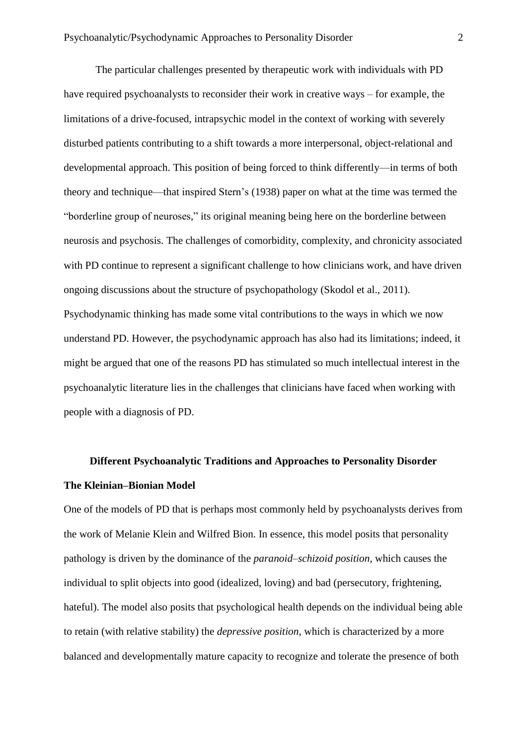The particular challenges presented by therapeutic work with individuals with PD have required psychoanalysts to reconsider their work in creative ways – for example, the limitations of a drive-focused, intrapsychic model in the context of working with severely disturbed patients contributing to a shift towards a more interpersonal, object-relational and developmental approach. This position of being forced to think differently—in terms of both theory and technique—that inspired Stern's (1938) paper on what at the time was termed the "borderline group of neuroses," its original meaning being here on the borderline between neurosis and psychosis. The challenges of comorbidity, complexity, and chronicity associated with PD continue to represent a significant challenge to how clinicians work, and have driven ongoing discussions about the structure of psychopathology (Skodol et al., 2011). Psychodynamic thinking has made some vital contributions to the ways in which we now understand PD. However, the psychodynamic approach has also had its limitations; indeed, it might be argued that one of the reasons PD has stimulated so much intellectual interest in the psychoanalytic literature lies in the challenges that clinicians have faced when working with people with a diagnosis of PD.

# **Different Psychoanalytic Traditions and Approaches to Personality Disorder The Kleinian–Bionian Model**

One of the models of PD that is perhaps most commonly held by psychoanalysts derives from the work of Melanie Klein and Wilfred Bion. In essence, this model posits that personality pathology is driven by the dominance of the *paranoid–schizoid position*, which causes the individual to split objects into good (idealized, loving) and bad (persecutory, frightening, hateful). The model also posits that psychological health depends on the individual being able to retain (with relative stability) the *depressive position*, which is characterized by a more balanced and developmentally mature capacity to recognize and tolerate the presence of both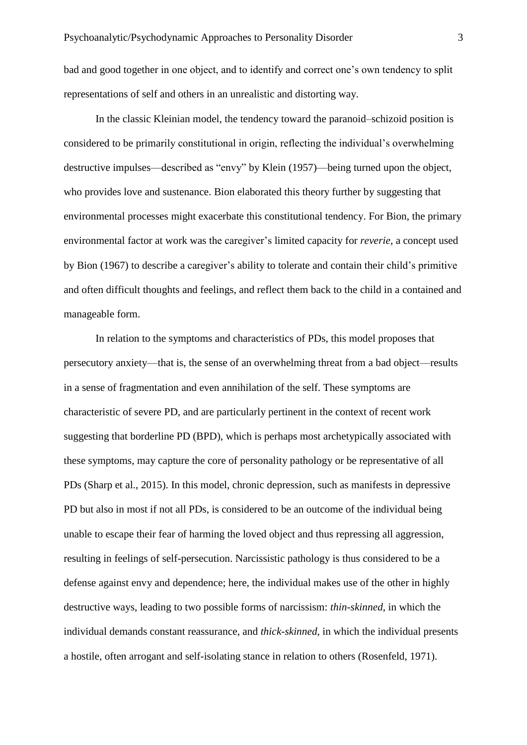bad and good together in one object, and to identify and correct one's own tendency to split representations of self and others in an unrealistic and distorting way.

In the classic Kleinian model, the tendency toward the paranoid–schizoid position is considered to be primarily constitutional in origin, reflecting the individual's overwhelming destructive impulses—described as "envy" by Klein (1957)—being turned upon the object, who provides love and sustenance. Bion elaborated this theory further by suggesting that environmental processes might exacerbate this constitutional tendency. For Bion, the primary environmental factor at work was the caregiver's limited capacity for *reverie*, a concept used by Bion (1967) to describe a caregiver's ability to tolerate and contain their child's primitive and often difficult thoughts and feelings, and reflect them back to the child in a contained and manageable form.

In relation to the symptoms and characteristics of PDs, this model proposes that persecutory anxiety—that is, the sense of an overwhelming threat from a bad object—results in a sense of fragmentation and even annihilation of the self. These symptoms are characteristic of severe PD, and are particularly pertinent in the context of recent work suggesting that borderline PD (BPD), which is perhaps most archetypically associated with these symptoms, may capture the core of personality pathology or be representative of all PDs (Sharp et al., 2015). In this model, chronic depression, such as manifests in depressive PD but also in most if not all PDs, is considered to be an outcome of the individual being unable to escape their fear of harming the loved object and thus repressing all aggression, resulting in feelings of self-persecution. Narcissistic pathology is thus considered to be a defense against envy and dependence; here, the individual makes use of the other in highly destructive ways, leading to two possible forms of narcissism: *thin-skinned*, in which the individual demands constant reassurance, and *thick-skinned*, in which the individual presents a hostile, often arrogant and self-isolating stance in relation to others (Rosenfeld, 1971).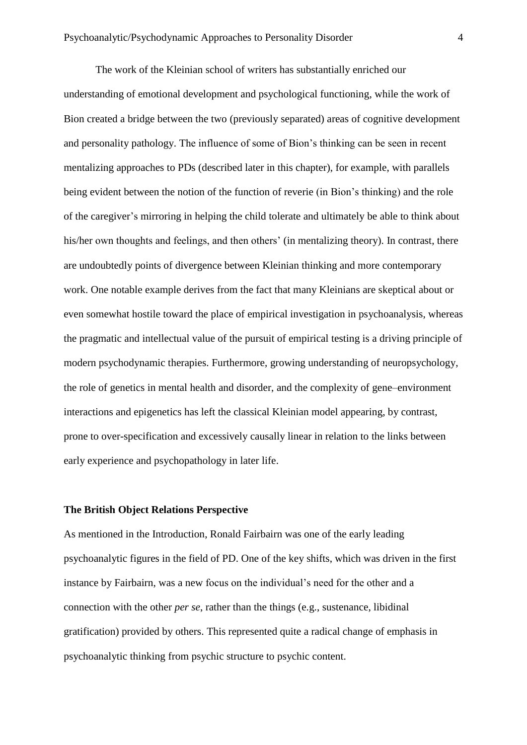The work of the Kleinian school of writers has substantially enriched our understanding of emotional development and psychological functioning, while the work of Bion created a bridge between the two (previously separated) areas of cognitive development and personality pathology. The influence of some of Bion's thinking can be seen in recent mentalizing approaches to PDs (described later in this chapter), for example, with parallels being evident between the notion of the function of reverie (in Bion's thinking) and the role of the caregiver's mirroring in helping the child tolerate and ultimately be able to think about his/her own thoughts and feelings, and then others' (in mentalizing theory). In contrast, there are undoubtedly points of divergence between Kleinian thinking and more contemporary work. One notable example derives from the fact that many Kleinians are skeptical about or even somewhat hostile toward the place of empirical investigation in psychoanalysis, whereas the pragmatic and intellectual value of the pursuit of empirical testing is a driving principle of modern psychodynamic therapies. Furthermore, growing understanding of neuropsychology, the role of genetics in mental health and disorder, and the complexity of gene–environment interactions and epigenetics has left the classical Kleinian model appearing, by contrast, prone to over-specification and excessively causally linear in relation to the links between early experience and psychopathology in later life.

## **The British Object Relations Perspective**

As mentioned in the Introduction, Ronald Fairbairn was one of the early leading psychoanalytic figures in the field of PD. One of the key shifts, which was driven in the first instance by Fairbairn, was a new focus on the individual's need for the other and a connection with the other *per se*, rather than the things (e.g., sustenance, libidinal gratification) provided by others. This represented quite a radical change of emphasis in psychoanalytic thinking from psychic structure to psychic content.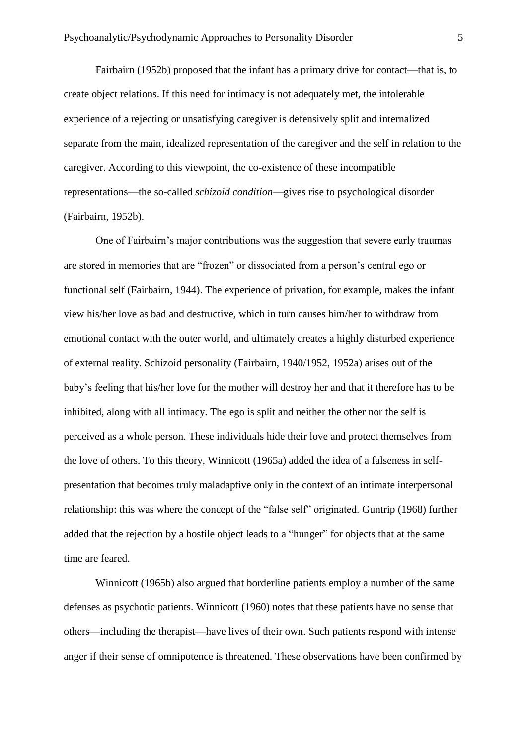Fairbairn (1952b) proposed that the infant has a primary drive for contact—that is, to create object relations. If this need for intimacy is not adequately met, the intolerable experience of a rejecting or unsatisfying caregiver is defensively split and internalized separate from the main, idealized representation of the caregiver and the self in relation to the caregiver. According to this viewpoint, the co-existence of these incompatible representations—the so-called *schizoid condition*—gives rise to psychological disorder (Fairbairn, 1952b).

One of Fairbairn's major contributions was the suggestion that severe early traumas are stored in memories that are "frozen" or dissociated from a person's central ego or functional self (Fairbairn, 1944). The experience of privation, for example, makes the infant view his/her love as bad and destructive, which in turn causes him/her to withdraw from emotional contact with the outer world, and ultimately creates a highly disturbed experience of external reality. Schizoid personality (Fairbairn, 1940/1952, 1952a) arises out of the baby's feeling that his/her love for the mother will destroy her and that it therefore has to be inhibited, along with all intimacy. The ego is split and neither the other nor the self is perceived as a whole person. These individuals hide their love and protect themselves from the love of others. To this theory, Winnicott (1965a) added the idea of a falseness in selfpresentation that becomes truly maladaptive only in the context of an intimate interpersonal relationship: this was where the concept of the "false self" originated. Guntrip (1968) further added that the rejection by a hostile object leads to a "hunger" for objects that at the same time are feared.

Winnicott (1965b) also argued that borderline patients employ a number of the same defenses as psychotic patients. Winnicott (1960) notes that these patients have no sense that others—including the therapist—have lives of their own. Such patients respond with intense anger if their sense of omnipotence is threatened. These observations have been confirmed by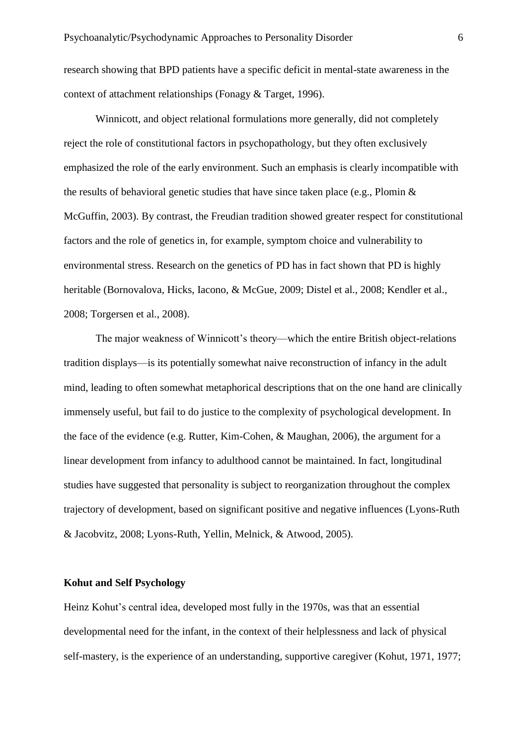research showing that BPD patients have a specific deficit in mental-state awareness in the context of attachment relationships (Fonagy & Target, 1996).

Winnicott, and object relational formulations more generally, did not completely reject the role of constitutional factors in psychopathology, but they often exclusively emphasized the role of the early environment. Such an emphasis is clearly incompatible with the results of behavioral genetic studies that have since taken place (e.g., Plomin & McGuffin, 2003). By contrast, the Freudian tradition showed greater respect for constitutional factors and the role of genetics in, for example, symptom choice and vulnerability to environmental stress. Research on the genetics of PD has in fact shown that PD is highly heritable (Bornovalova, Hicks, Iacono, & McGue, 2009; Distel et al., 2008; Kendler et al., 2008; Torgersen et al., 2008).

The major weakness of Winnicott's theory—which the entire British object-relations tradition displays—is its potentially somewhat naive reconstruction of infancy in the adult mind, leading to often somewhat metaphorical descriptions that on the one hand are clinically immensely useful, but fail to do justice to the complexity of psychological development. In the face of the evidence (e.g. Rutter, Kim-Cohen, & Maughan, 2006), the argument for a linear development from infancy to adulthood cannot be maintained. In fact, longitudinal studies have suggested that personality is subject to reorganization throughout the complex trajectory of development, based on significant positive and negative influences (Lyons-Ruth & Jacobvitz, 2008; Lyons-Ruth, Yellin, Melnick, & Atwood, 2005).

### **Kohut and Self Psychology**

Heinz Kohut's central idea, developed most fully in the 1970s, was that an essential developmental need for the infant, in the context of their helplessness and lack of physical self-mastery, is the experience of an understanding, supportive caregiver (Kohut, 1971, 1977;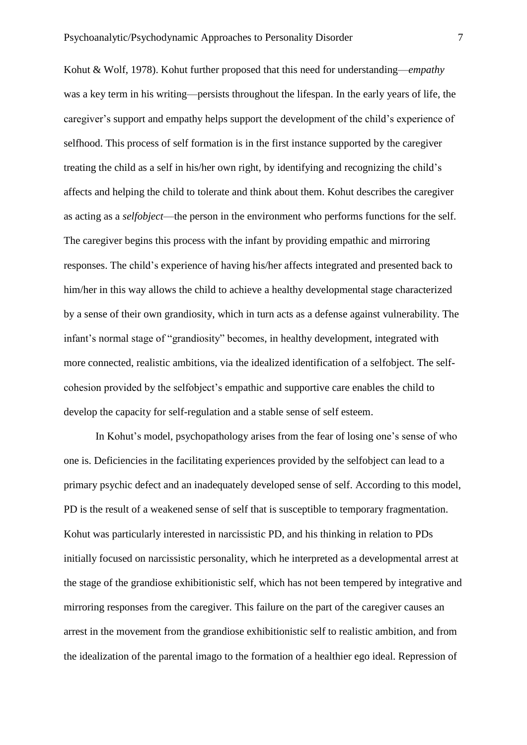Kohut & Wolf, 1978). Kohut further proposed that this need for understanding—*empathy* was a key term in his writing—persists throughout the lifespan. In the early years of life, the caregiver's support and empathy helps support the development of the child's experience of selfhood. This process of self formation is in the first instance supported by the caregiver treating the child as a self in his/her own right, by identifying and recognizing the child's affects and helping the child to tolerate and think about them. Kohut describes the caregiver as acting as a *selfobject*—the person in the environment who performs functions for the self. The caregiver begins this process with the infant by providing empathic and mirroring responses. The child's experience of having his/her affects integrated and presented back to him/her in this way allows the child to achieve a healthy developmental stage characterized by a sense of their own grandiosity, which in turn acts as a defense against vulnerability. The infant's normal stage of "grandiosity" becomes, in healthy development, integrated with more connected, realistic ambitions, via the idealized identification of a selfobject. The selfcohesion provided by the selfobject's empathic and supportive care enables the child to develop the capacity for self-regulation and a stable sense of self esteem.

In Kohut's model, psychopathology arises from the fear of losing one's sense of who one is. Deficiencies in the facilitating experiences provided by the selfobject can lead to a primary psychic defect and an inadequately developed sense of self. According to this model, PD is the result of a weakened sense of self that is susceptible to temporary fragmentation. Kohut was particularly interested in narcissistic PD, and his thinking in relation to PDs initially focused on narcissistic personality, which he interpreted as a developmental arrest at the stage of the grandiose exhibitionistic self, which has not been tempered by integrative and mirroring responses from the caregiver. This failure on the part of the caregiver causes an arrest in the movement from the grandiose exhibitionistic self to realistic ambition, and from the idealization of the parental imago to the formation of a healthier ego ideal. Repression of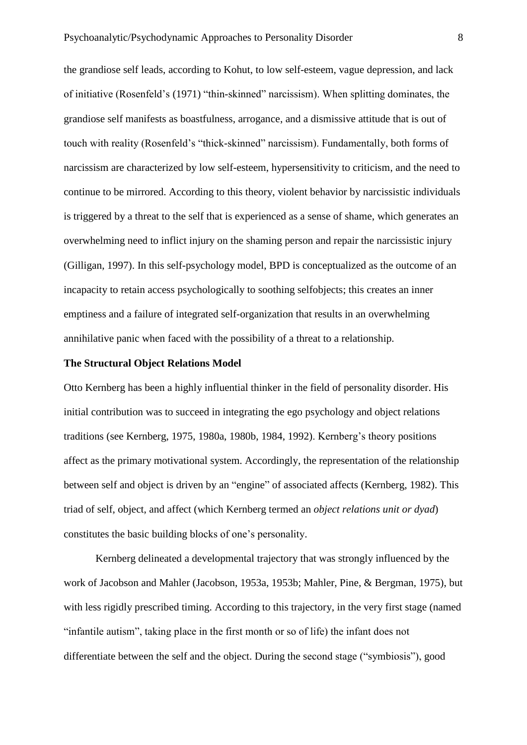the grandiose self leads, according to Kohut, to low self-esteem, vague depression, and lack of initiative (Rosenfeld's (1971) "thin-skinned" narcissism). When splitting dominates, the grandiose self manifests as boastfulness, arrogance, and a dismissive attitude that is out of touch with reality (Rosenfeld's "thick-skinned" narcissism). Fundamentally, both forms of narcissism are characterized by low self-esteem, hypersensitivity to criticism, and the need to continue to be mirrored. According to this theory, violent behavior by narcissistic individuals is triggered by a threat to the self that is experienced as a sense of shame, which generates an overwhelming need to inflict injury on the shaming person and repair the narcissistic injury (Gilligan, 1997). In this self-psychology model, BPD is conceptualized as the outcome of an incapacity to retain access psychologically to soothing selfobjects; this creates an inner emptiness and a failure of integrated self-organization that results in an overwhelming annihilative panic when faced with the possibility of a threat to a relationship.

## **The Structural Object Relations Model**

Otto Kernberg has been a highly influential thinker in the field of personality disorder. His initial contribution was to succeed in integrating the ego psychology and object relations traditions (see Kernberg, 1975, 1980a, 1980b, 1984, 1992). Kernberg's theory positions affect as the primary motivational system. Accordingly, the representation of the relationship between self and object is driven by an "engine" of associated affects (Kernberg, 1982). This triad of self, object, and affect (which Kernberg termed an *object relations unit or dyad*) constitutes the basic building blocks of one's personality.

Kernberg delineated a developmental trajectory that was strongly influenced by the work of Jacobson and Mahler (Jacobson, 1953a, 1953b; Mahler, Pine, & Bergman, 1975), but with less rigidly prescribed timing. According to this trajectory, in the very first stage (named "infantile autism", taking place in the first month or so of life) the infant does not differentiate between the self and the object. During the second stage ("symbiosis"), good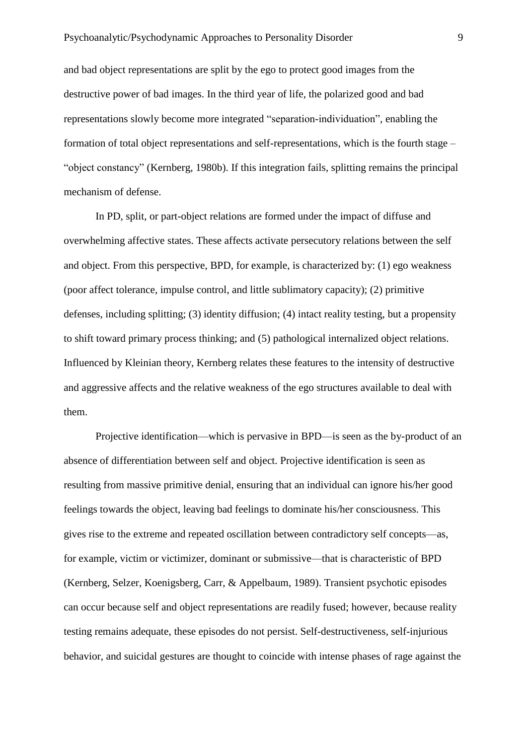and bad object representations are split by the ego to protect good images from the destructive power of bad images. In the third year of life, the polarized good and bad representations slowly become more integrated "separation-individuation", enabling the formation of total object representations and self-representations, which is the fourth stage – "object constancy" (Kernberg, 1980b). If this integration fails, splitting remains the principal mechanism of defense.

In PD, split, or part-object relations are formed under the impact of diffuse and overwhelming affective states. These affects activate persecutory relations between the self and object. From this perspective, BPD, for example, is characterized by: (1) ego weakness (poor affect tolerance, impulse control, and little sublimatory capacity); (2) primitive defenses, including splitting; (3) identity diffusion; (4) intact reality testing, but a propensity to shift toward primary process thinking; and (5) pathological internalized object relations. Influenced by Kleinian theory, Kernberg relates these features to the intensity of destructive and aggressive affects and the relative weakness of the ego structures available to deal with them.

Projective identification—which is pervasive in BPD—is seen as the by-product of an absence of differentiation between self and object. Projective identification is seen as resulting from massive primitive denial, ensuring that an individual can ignore his/her good feelings towards the object, leaving bad feelings to dominate his/her consciousness. This gives rise to the extreme and repeated oscillation between contradictory self concepts—as, for example, victim or victimizer, dominant or submissive—that is characteristic of BPD (Kernberg, Selzer, Koenigsberg, Carr, & Appelbaum, 1989). Transient psychotic episodes can occur because self and object representations are readily fused; however, because reality testing remains adequate, these episodes do not persist. Self-destructiveness, self-injurious behavior, and suicidal gestures are thought to coincide with intense phases of rage against the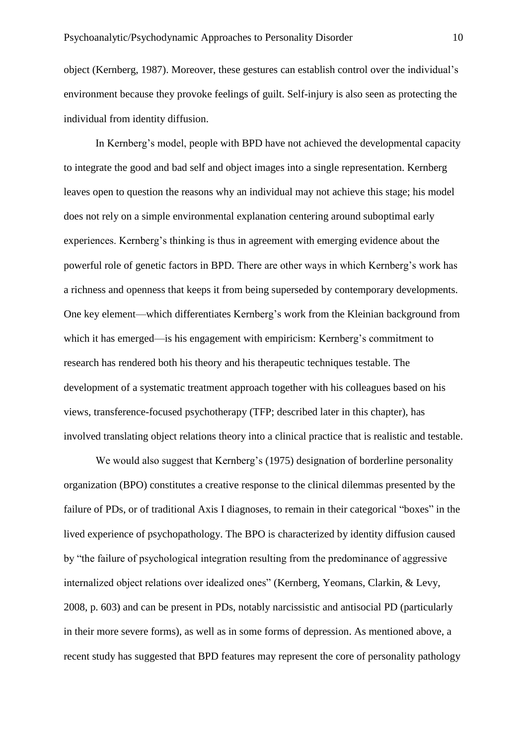object (Kernberg, 1987). Moreover, these gestures can establish control over the individual's environment because they provoke feelings of guilt. Self-injury is also seen as protecting the individual from identity diffusion.

In Kernberg's model, people with BPD have not achieved the developmental capacity to integrate the good and bad self and object images into a single representation. Kernberg leaves open to question the reasons why an individual may not achieve this stage; his model does not rely on a simple environmental explanation centering around suboptimal early experiences. Kernberg's thinking is thus in agreement with emerging evidence about the powerful role of genetic factors in BPD. There are other ways in which Kernberg's work has a richness and openness that keeps it from being superseded by contemporary developments. One key element—which differentiates Kernberg's work from the Kleinian background from which it has emerged—is his engagement with empiricism: Kernberg's commitment to research has rendered both his theory and his therapeutic techniques testable. The development of a systematic treatment approach together with his colleagues based on his views, transference-focused psychotherapy (TFP; described later in this chapter), has involved translating object relations theory into a clinical practice that is realistic and testable.

We would also suggest that Kernberg's (1975) designation of borderline personality organization (BPO) constitutes a creative response to the clinical dilemmas presented by the failure of PDs, or of traditional Axis I diagnoses, to remain in their categorical "boxes" in the lived experience of psychopathology. The BPO is characterized by identity diffusion caused by "the failure of psychological integration resulting from the predominance of aggressive internalized object relations over idealized ones" (Kernberg, Yeomans, Clarkin, & Levy, 2008, p. 603) and can be present in PDs, notably narcissistic and antisocial PD (particularly in their more severe forms), as well as in some forms of depression. As mentioned above, a recent study has suggested that BPD features may represent the core of personality pathology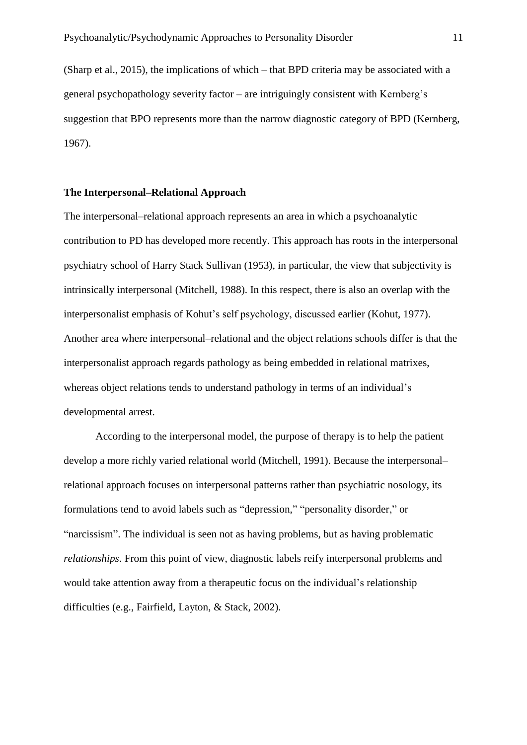(Sharp et al., 2015), the implications of which – that BPD criteria may be associated with a general psychopathology severity factor – are intriguingly consistent with Kernberg's suggestion that BPO represents more than the narrow diagnostic category of BPD (Kernberg, 1967).

#### **The Interpersonal–Relational Approach**

The interpersonal–relational approach represents an area in which a psychoanalytic contribution to PD has developed more recently. This approach has roots in the interpersonal psychiatry school of Harry Stack Sullivan (1953), in particular, the view that subjectivity is intrinsically interpersonal (Mitchell, 1988). In this respect, there is also an overlap with the interpersonalist emphasis of Kohut's self psychology, discussed earlier (Kohut, 1977). Another area where interpersonal–relational and the object relations schools differ is that the interpersonalist approach regards pathology as being embedded in relational matrixes, whereas object relations tends to understand pathology in terms of an individual's developmental arrest.

According to the interpersonal model, the purpose of therapy is to help the patient develop a more richly varied relational world (Mitchell, 1991). Because the interpersonal– relational approach focuses on interpersonal patterns rather than psychiatric nosology, its formulations tend to avoid labels such as "depression," "personality disorder," or "narcissism". The individual is seen not as having problems, but as having problematic *relationships*. From this point of view, diagnostic labels reify interpersonal problems and would take attention away from a therapeutic focus on the individual's relationship difficulties (e.g., Fairfield, Layton, & Stack, 2002).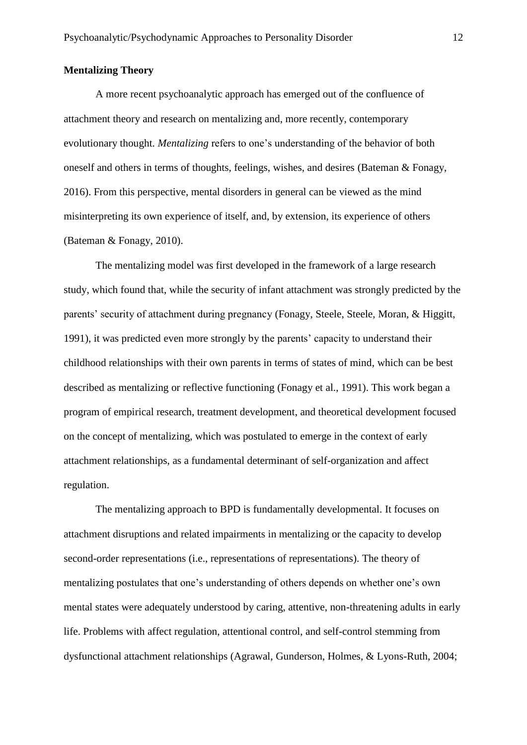## **Mentalizing Theory**

A more recent psychoanalytic approach has emerged out of the confluence of attachment theory and research on mentalizing and, more recently, contemporary evolutionary thought. *Mentalizing* refers to one's understanding of the behavior of both oneself and others in terms of thoughts, feelings, wishes, and desires (Bateman & Fonagy, 2016). From this perspective, mental disorders in general can be viewed as the mind misinterpreting its own experience of itself, and, by extension, its experience of others (Bateman & Fonagy, 2010).

The mentalizing model was first developed in the framework of a large research study, which found that, while the security of infant attachment was strongly predicted by the parents' security of attachment during pregnancy (Fonagy, Steele, Steele, Moran, & Higgitt, 1991), it was predicted even more strongly by the parents' capacity to understand their childhood relationships with their own parents in terms of states of mind, which can be best described as mentalizing or reflective functioning (Fonagy et al., 1991). This work began a program of empirical research, treatment development, and theoretical development focused on the concept of mentalizing, which was postulated to emerge in the context of early attachment relationships, as a fundamental determinant of self-organization and affect regulation.

The mentalizing approach to BPD is fundamentally developmental. It focuses on attachment disruptions and related impairments in mentalizing or the capacity to develop second-order representations (i.e., representations of representations). The theory of mentalizing postulates that one's understanding of others depends on whether one's own mental states were adequately understood by caring, attentive, non-threatening adults in early life. Problems with affect regulation, attentional control, and self-control stemming from dysfunctional attachment relationships (Agrawal, Gunderson, Holmes, & Lyons-Ruth, 2004;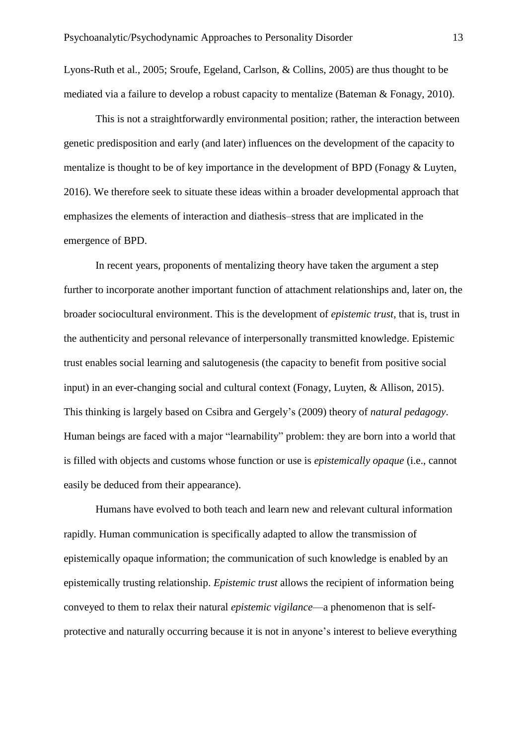Lyons-Ruth et al., 2005; Sroufe, Egeland, Carlson, & Collins, 2005) are thus thought to be mediated via a failure to develop a robust capacity to mentalize (Bateman & Fonagy, 2010).

This is not a straightforwardly environmental position; rather, the interaction between genetic predisposition and early (and later) influences on the development of the capacity to mentalize is thought to be of key importance in the development of BPD (Fonagy & Luyten, 2016). We therefore seek to situate these ideas within a broader developmental approach that emphasizes the elements of interaction and diathesis–stress that are implicated in the emergence of BPD.

In recent years, proponents of mentalizing theory have taken the argument a step further to incorporate another important function of attachment relationships and, later on, the broader sociocultural environment. This is the development of *epistemic trust*, that is, trust in the authenticity and personal relevance of interpersonally transmitted knowledge. Epistemic trust enables social learning and salutogenesis (the capacity to benefit from positive social input) in an ever-changing social and cultural context (Fonagy, Luyten, & Allison, 2015). This thinking is largely based on Csibra and Gergely's (2009) theory of *natural pedagogy*. Human beings are faced with a major "learnability" problem: they are born into a world that is filled with objects and customs whose function or use is *epistemically opaque* (i.e., cannot easily be deduced from their appearance).

Humans have evolved to both teach and learn new and relevant cultural information rapidly. Human communication is specifically adapted to allow the transmission of epistemically opaque information; the communication of such knowledge is enabled by an epistemically trusting relationship. *Epistemic trust* allows the recipient of information being conveyed to them to relax their natural *epistemic vigilance*—a phenomenon that is selfprotective and naturally occurring because it is not in anyone's interest to believe everything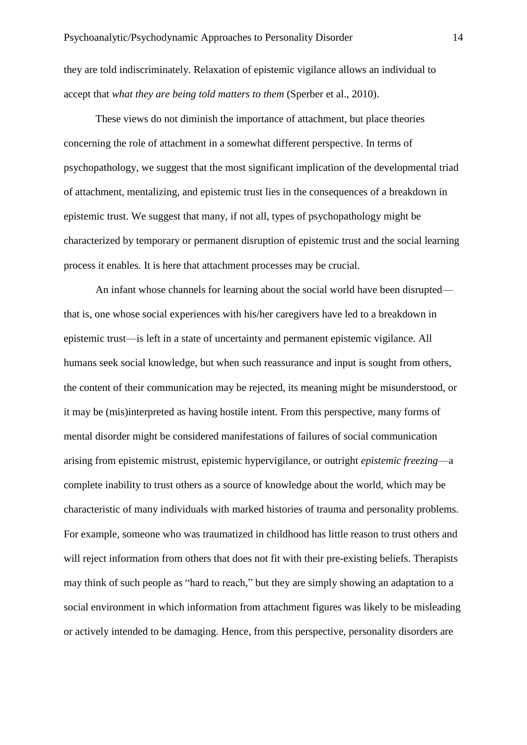they are told indiscriminately. Relaxation of epistemic vigilance allows an individual to accept that *what they are being told matters to them* (Sperber et al., 2010).

These views do not diminish the importance of attachment, but place theories concerning the role of attachment in a somewhat different perspective. In terms of psychopathology, we suggest that the most significant implication of the developmental triad of attachment, mentalizing, and epistemic trust lies in the consequences of a breakdown in epistemic trust. We suggest that many, if not all, types of psychopathology might be characterized by temporary or permanent disruption of epistemic trust and the social learning process it enables. It is here that attachment processes may be crucial.

An infant whose channels for learning about the social world have been disrupted that is, one whose social experiences with his/her caregivers have led to a breakdown in epistemic trust—is left in a state of uncertainty and permanent epistemic vigilance. All humans seek social knowledge, but when such reassurance and input is sought from others, the content of their communication may be rejected, its meaning might be misunderstood, or it may be (mis)interpreted as having hostile intent. From this perspective, many forms of mental disorder might be considered manifestations of failures of social communication arising from epistemic mistrust, epistemic hypervigilance, or outright *epistemic freezing*—a complete inability to trust others as a source of knowledge about the world, which may be characteristic of many individuals with marked histories of trauma and personality problems. For example, someone who was traumatized in childhood has little reason to trust others and will reject information from others that does not fit with their pre-existing beliefs. Therapists may think of such people as "hard to reach," but they are simply showing an adaptation to a social environment in which information from attachment figures was likely to be misleading or actively intended to be damaging. Hence, from this perspective, personality disorders are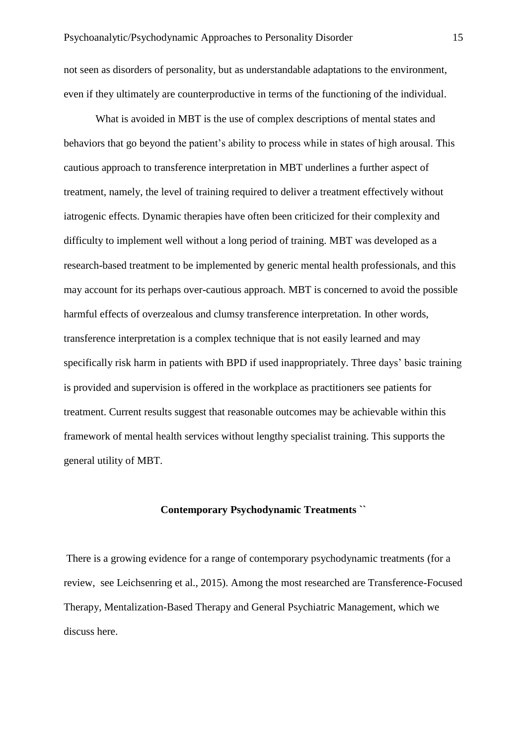not seen as disorders of personality, but as understandable adaptations to the environment, even if they ultimately are counterproductive in terms of the functioning of the individual.

What is avoided in MBT is the use of complex descriptions of mental states and behaviors that go beyond the patient's ability to process while in states of high arousal. This cautious approach to transference interpretation in MBT underlines a further aspect of treatment, namely, the level of training required to deliver a treatment effectively without iatrogenic effects. Dynamic therapies have often been criticized for their complexity and difficulty to implement well without a long period of training. MBT was developed as a research-based treatment to be implemented by generic mental health professionals, and this may account for its perhaps over-cautious approach. MBT is concerned to avoid the possible harmful effects of overzealous and clumsy transference interpretation. In other words, transference interpretation is a complex technique that is not easily learned and may specifically risk harm in patients with BPD if used inappropriately. Three days' basic training is provided and supervision is offered in the workplace as practitioners see patients for treatment. Current results suggest that reasonable outcomes may be achievable within this framework of mental health services without lengthy specialist training. This supports the general utility of MBT.

## **Contemporary Psychodynamic Treatments ``**

There is a growing evidence for a range of contemporary psychodynamic treatments (for a review, see Leichsenring et al., 2015). Among the most researched are Transference-Focused Therapy, Mentalization-Based Therapy and General Psychiatric Management, which we discuss here.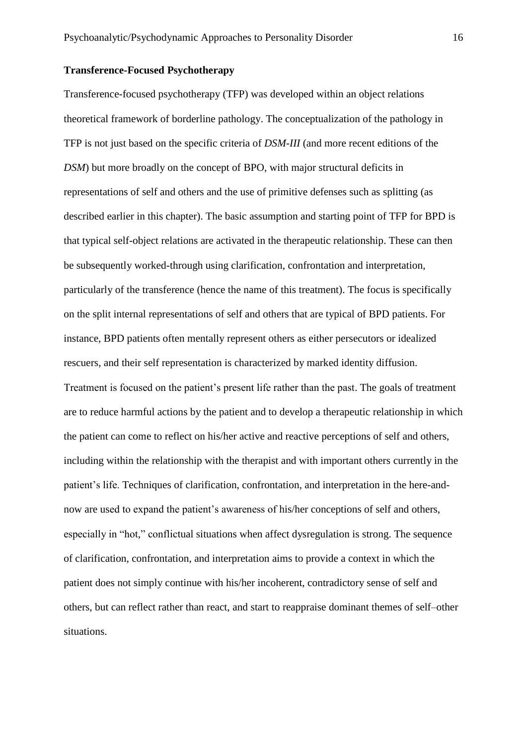### **Transference-Focused Psychotherapy**

Transference-focused psychotherapy (TFP) was developed within an object relations theoretical framework of borderline pathology. The conceptualization of the pathology in TFP is not just based on the specific criteria of *DSM-III* (and more recent editions of the *DSM*) but more broadly on the concept of BPO, with major structural deficits in representations of self and others and the use of primitive defenses such as splitting (as described earlier in this chapter). The basic assumption and starting point of TFP for BPD is that typical self-object relations are activated in the therapeutic relationship. These can then be subsequently worked-through using clarification, confrontation and interpretation, particularly of the transference (hence the name of this treatment). The focus is specifically on the split internal representations of self and others that are typical of BPD patients. For instance, BPD patients often mentally represent others as either persecutors or idealized rescuers, and their self representation is characterized by marked identity diffusion. Treatment is focused on the patient's present life rather than the past. The goals of treatment are to reduce harmful actions by the patient and to develop a therapeutic relationship in which the patient can come to reflect on his/her active and reactive perceptions of self and others, including within the relationship with the therapist and with important others currently in the patient's life. Techniques of clarification, confrontation, and interpretation in the here-andnow are used to expand the patient's awareness of his/her conceptions of self and others, especially in "hot," conflictual situations when affect dysregulation is strong. The sequence of clarification, confrontation, and interpretation aims to provide a context in which the patient does not simply continue with his/her incoherent, contradictory sense of self and others, but can reflect rather than react, and start to reappraise dominant themes of self–other situations.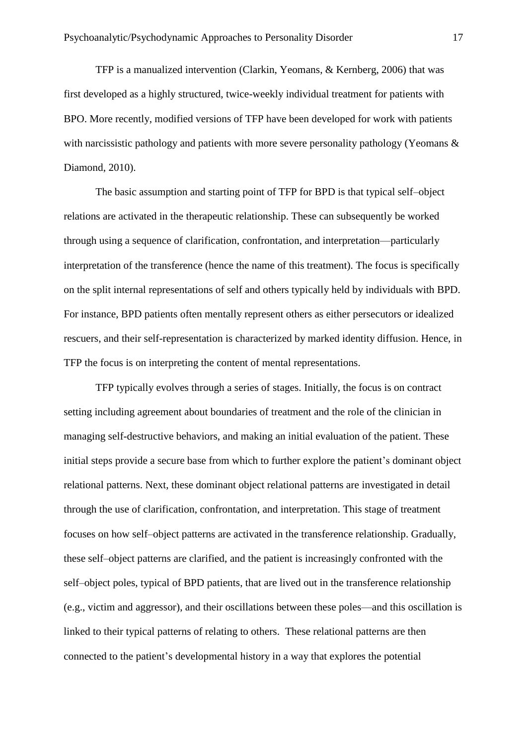TFP is a manualized intervention (Clarkin, Yeomans, & Kernberg, 2006) that was first developed as a highly structured, twice-weekly individual treatment for patients with BPO. More recently, modified versions of TFP have been developed for work with patients with narcissistic pathology and patients with more severe personality pathology (Yeomans & Diamond, 2010).

The basic assumption and starting point of TFP for BPD is that typical self–object relations are activated in the therapeutic relationship. These can subsequently be worked through using a sequence of clarification, confrontation, and interpretation—particularly interpretation of the transference (hence the name of this treatment). The focus is specifically on the split internal representations of self and others typically held by individuals with BPD. For instance, BPD patients often mentally represent others as either persecutors or idealized rescuers, and their self-representation is characterized by marked identity diffusion. Hence, in TFP the focus is on interpreting the content of mental representations.

TFP typically evolves through a series of stages. Initially, the focus is on contract setting including agreement about boundaries of treatment and the role of the clinician in managing self-destructive behaviors, and making an initial evaluation of the patient. These initial steps provide a secure base from which to further explore the patient's dominant object relational patterns. Next, these dominant object relational patterns are investigated in detail through the use of clarification, confrontation, and interpretation. This stage of treatment focuses on how self–object patterns are activated in the transference relationship. Gradually, these self–object patterns are clarified, and the patient is increasingly confronted with the self–object poles, typical of BPD patients, that are lived out in the transference relationship (e.g., victim and aggressor), and their oscillations between these poles—and this oscillation is linked to their typical patterns of relating to others. These relational patterns are then connected to the patient's developmental history in a way that explores the potential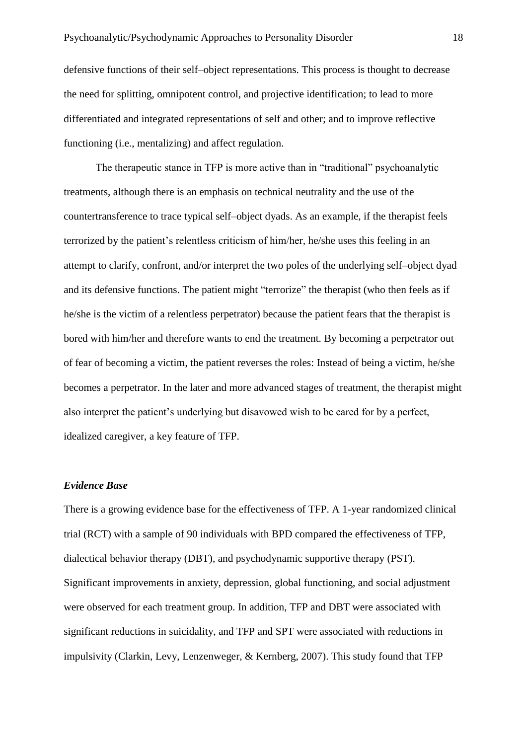defensive functions of their self–object representations. This process is thought to decrease the need for splitting, omnipotent control, and projective identification; to lead to more differentiated and integrated representations of self and other; and to improve reflective functioning (i.e., mentalizing) and affect regulation.

The therapeutic stance in TFP is more active than in "traditional" psychoanalytic treatments, although there is an emphasis on technical neutrality and the use of the countertransference to trace typical self–object dyads. As an example, if the therapist feels terrorized by the patient's relentless criticism of him/her, he/she uses this feeling in an attempt to clarify, confront, and/or interpret the two poles of the underlying self–object dyad and its defensive functions. The patient might "terrorize" the therapist (who then feels as if he/she is the victim of a relentless perpetrator) because the patient fears that the therapist is bored with him/her and therefore wants to end the treatment. By becoming a perpetrator out of fear of becoming a victim, the patient reverses the roles: Instead of being a victim, he/she becomes a perpetrator. In the later and more advanced stages of treatment, the therapist might also interpret the patient's underlying but disavowed wish to be cared for by a perfect, idealized caregiver, a key feature of TFP.

### *Evidence Base*

There is a growing evidence base for the effectiveness of TFP. A 1-year randomized clinical trial (RCT) with a sample of 90 individuals with BPD compared the effectiveness of TFP, dialectical behavior therapy (DBT), and psychodynamic supportive therapy (PST). Significant improvements in anxiety, depression, global functioning, and social adjustment were observed for each treatment group. In addition, TFP and DBT were associated with significant reductions in suicidality, and TFP and SPT were associated with reductions in impulsivity (Clarkin, Levy, Lenzenweger, & Kernberg, 2007). This study found that TFP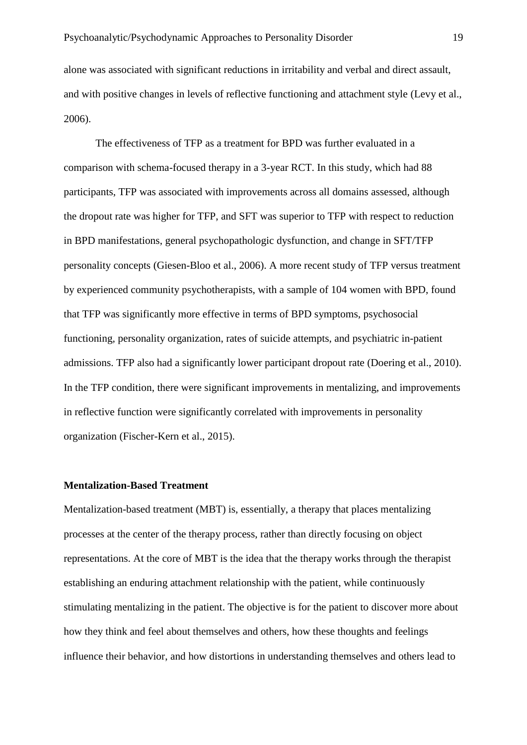alone was associated with significant reductions in irritability and verbal and direct assault, and with positive changes in levels of reflective functioning and attachment style (Levy et al., 2006).

The effectiveness of TFP as a treatment for BPD was further evaluated in a comparison with schema-focused therapy in a 3-year RCT. In this study, which had 88 participants, TFP was associated with improvements across all domains assessed, although the dropout rate was higher for TFP, and SFT was superior to TFP with respect to reduction in BPD manifestations, general psychopathologic dysfunction, and change in SFT/TFP personality concepts (Giesen-Bloo et al., 2006). A more recent study of TFP versus treatment by experienced community psychotherapists, with a sample of 104 women with BPD, found that TFP was significantly more effective in terms of BPD symptoms, psychosocial functioning, personality organization, rates of suicide attempts, and psychiatric in-patient admissions. TFP also had a significantly lower participant dropout rate (Doering et al., 2010). In the TFP condition, there were significant improvements in mentalizing, and improvements in reflective function were significantly correlated with improvements in personality organization (Fischer-Kern et al., 2015).

#### **Mentalization-Based Treatment**

Mentalization-based treatment (MBT) is, essentially, a therapy that places mentalizing processes at the center of the therapy process, rather than directly focusing on object representations. At the core of MBT is the idea that the therapy works through the therapist establishing an enduring attachment relationship with the patient, while continuously stimulating mentalizing in the patient. The objective is for the patient to discover more about how they think and feel about themselves and others, how these thoughts and feelings influence their behavior, and how distortions in understanding themselves and others lead to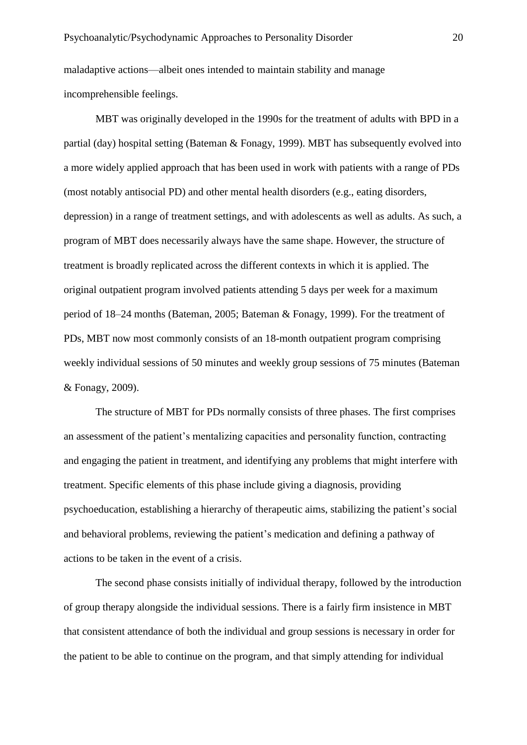maladaptive actions—albeit ones intended to maintain stability and manage incomprehensible feelings.

MBT was originally developed in the 1990s for the treatment of adults with BPD in a partial (day) hospital setting (Bateman & Fonagy, 1999). MBT has subsequently evolved into a more widely applied approach that has been used in work with patients with a range of PDs (most notably antisocial PD) and other mental health disorders (e.g., eating disorders, depression) in a range of treatment settings, and with adolescents as well as adults. As such, a program of MBT does necessarily always have the same shape. However, the structure of treatment is broadly replicated across the different contexts in which it is applied. The original outpatient program involved patients attending 5 days per week for a maximum period of 18–24 months (Bateman, 2005; Bateman & Fonagy, 1999). For the treatment of PDs, MBT now most commonly consists of an 18-month outpatient program comprising weekly individual sessions of 50 minutes and weekly group sessions of 75 minutes (Bateman & Fonagy, 2009).

The structure of MBT for PDs normally consists of three phases. The first comprises an assessment of the patient's mentalizing capacities and personality function, contracting and engaging the patient in treatment, and identifying any problems that might interfere with treatment. Specific elements of this phase include giving a diagnosis, providing psychoeducation, establishing a hierarchy of therapeutic aims, stabilizing the patient's social and behavioral problems, reviewing the patient's medication and defining a pathway of actions to be taken in the event of a crisis.

The second phase consists initially of individual therapy, followed by the introduction of group therapy alongside the individual sessions. There is a fairly firm insistence in MBT that consistent attendance of both the individual and group sessions is necessary in order for the patient to be able to continue on the program, and that simply attending for individual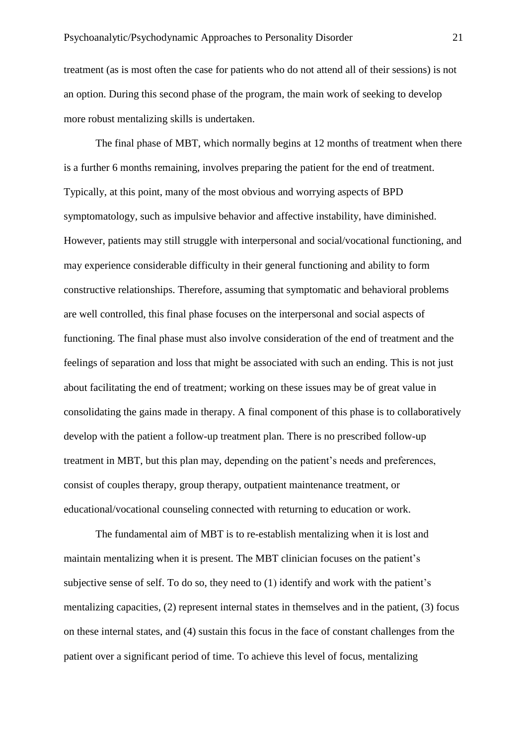treatment (as is most often the case for patients who do not attend all of their sessions) is not an option. During this second phase of the program, the main work of seeking to develop more robust mentalizing skills is undertaken.

The final phase of MBT, which normally begins at 12 months of treatment when there is a further 6 months remaining, involves preparing the patient for the end of treatment. Typically, at this point, many of the most obvious and worrying aspects of BPD symptomatology, such as impulsive behavior and affective instability, have diminished. However, patients may still struggle with interpersonal and social/vocational functioning, and may experience considerable difficulty in their general functioning and ability to form constructive relationships. Therefore, assuming that symptomatic and behavioral problems are well controlled, this final phase focuses on the interpersonal and social aspects of functioning. The final phase must also involve consideration of the end of treatment and the feelings of separation and loss that might be associated with such an ending. This is not just about facilitating the end of treatment; working on these issues may be of great value in consolidating the gains made in therapy. A final component of this phase is to collaboratively develop with the patient a follow-up treatment plan. There is no prescribed follow-up treatment in MBT, but this plan may, depending on the patient's needs and preferences, consist of couples therapy, group therapy, outpatient maintenance treatment, or educational/vocational counseling connected with returning to education or work.

The fundamental aim of MBT is to re-establish mentalizing when it is lost and maintain mentalizing when it is present. The MBT clinician focuses on the patient's subjective sense of self. To do so, they need to (1) identify and work with the patient's mentalizing capacities, (2) represent internal states in themselves and in the patient, (3) focus on these internal states, and (4) sustain this focus in the face of constant challenges from the patient over a significant period of time. To achieve this level of focus, mentalizing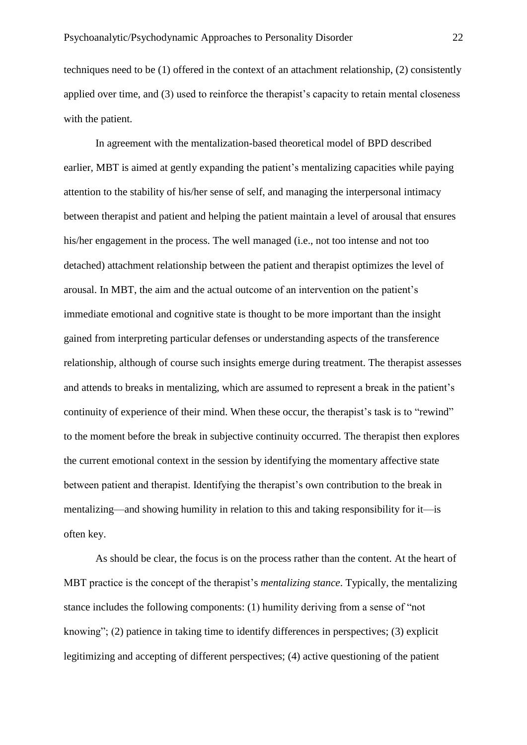techniques need to be (1) offered in the context of an attachment relationship, (2) consistently applied over time, and (3) used to reinforce the therapist's capacity to retain mental closeness with the patient.

In agreement with the mentalization-based theoretical model of BPD described earlier, MBT is aimed at gently expanding the patient's mentalizing capacities while paying attention to the stability of his/her sense of self, and managing the interpersonal intimacy between therapist and patient and helping the patient maintain a level of arousal that ensures his/her engagement in the process. The well managed (i.e., not too intense and not too detached) attachment relationship between the patient and therapist optimizes the level of arousal. In MBT, the aim and the actual outcome of an intervention on the patient's immediate emotional and cognitive state is thought to be more important than the insight gained from interpreting particular defenses or understanding aspects of the transference relationship, although of course such insights emerge during treatment. The therapist assesses and attends to breaks in mentalizing, which are assumed to represent a break in the patient's continuity of experience of their mind. When these occur, the therapist's task is to "rewind" to the moment before the break in subjective continuity occurred. The therapist then explores the current emotional context in the session by identifying the momentary affective state between patient and therapist. Identifying the therapist's own contribution to the break in mentalizing—and showing humility in relation to this and taking responsibility for it—is often key.

As should be clear, the focus is on the process rather than the content. At the heart of MBT practice is the concept of the therapist's *mentalizing stance*. Typically, the mentalizing stance includes the following components: (1) humility deriving from a sense of "not knowing"; (2) patience in taking time to identify differences in perspectives; (3) explicit legitimizing and accepting of different perspectives; (4) active questioning of the patient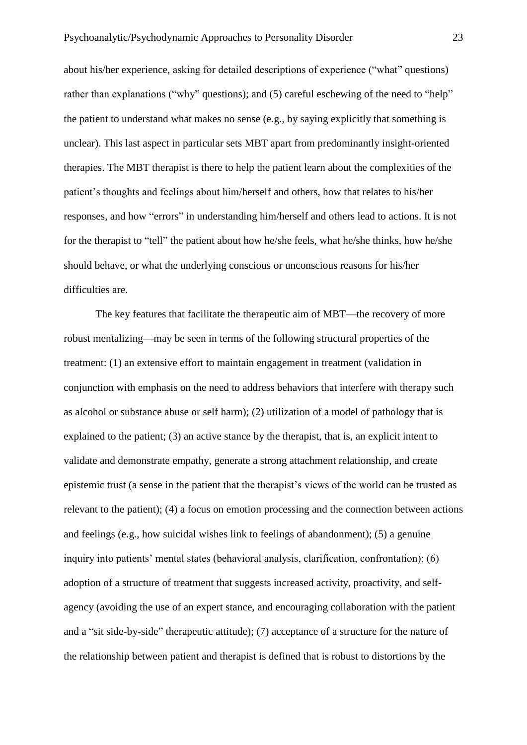about his/her experience, asking for detailed descriptions of experience ("what" questions) rather than explanations ("why" questions); and (5) careful eschewing of the need to "help" the patient to understand what makes no sense (e.g., by saying explicitly that something is unclear). This last aspect in particular sets MBT apart from predominantly insight-oriented therapies. The MBT therapist is there to help the patient learn about the complexities of the patient's thoughts and feelings about him/herself and others, how that relates to his/her responses, and how "errors" in understanding him/herself and others lead to actions. It is not for the therapist to "tell" the patient about how he/she feels, what he/she thinks, how he/she should behave, or what the underlying conscious or unconscious reasons for his/her difficulties are.

The key features that facilitate the therapeutic aim of MBT—the recovery of more robust mentalizing—may be seen in terms of the following structural properties of the treatment: (1) an extensive effort to maintain engagement in treatment (validation in conjunction with emphasis on the need to address behaviors that interfere with therapy such as alcohol or substance abuse or self harm); (2) utilization of a model of pathology that is explained to the patient; (3) an active stance by the therapist, that is, an explicit intent to validate and demonstrate empathy, generate a strong attachment relationship, and create epistemic trust (a sense in the patient that the therapist's views of the world can be trusted as relevant to the patient); (4) a focus on emotion processing and the connection between actions and feelings (e.g., how suicidal wishes link to feelings of abandonment); (5) a genuine inquiry into patients' mental states (behavioral analysis, clarification, confrontation); (6) adoption of a structure of treatment that suggests increased activity, proactivity, and selfagency (avoiding the use of an expert stance, and encouraging collaboration with the patient and a "sit side-by-side" therapeutic attitude); (7) acceptance of a structure for the nature of the relationship between patient and therapist is defined that is robust to distortions by the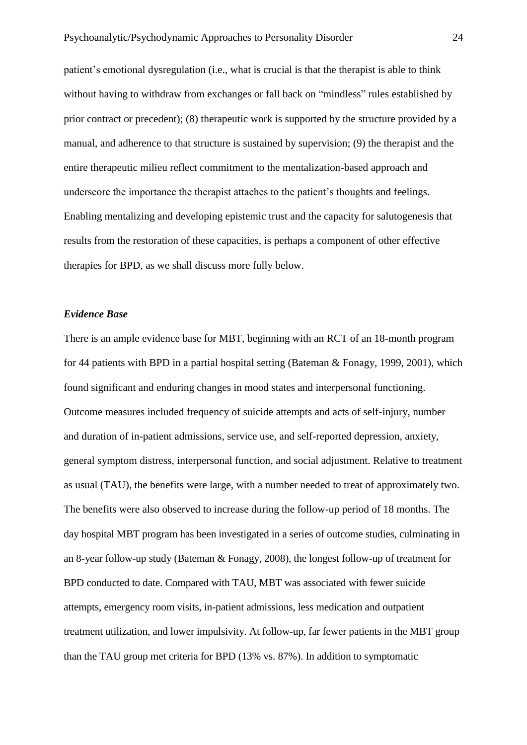patient's emotional dysregulation (i.e., what is crucial is that the therapist is able to think without having to withdraw from exchanges or fall back on "mindless" rules established by prior contract or precedent); (8) therapeutic work is supported by the structure provided by a manual, and adherence to that structure is sustained by supervision; (9) the therapist and the entire therapeutic milieu reflect commitment to the mentalization-based approach and underscore the importance the therapist attaches to the patient's thoughts and feelings. Enabling mentalizing and developing epistemic trust and the capacity for salutogenesis that results from the restoration of these capacities, is perhaps a component of other effective therapies for BPD, as we shall discuss more fully below.

## *Evidence Base*

There is an ample evidence base for MBT, beginning with an RCT of an 18-month program for 44 patients with BPD in a partial hospital setting (Bateman & Fonagy, 1999, 2001), which found significant and enduring changes in mood states and interpersonal functioning. Outcome measures included frequency of suicide attempts and acts of self-injury, number and duration of in-patient admissions, service use, and self-reported depression, anxiety, general symptom distress, interpersonal function, and social adjustment. Relative to treatment as usual (TAU), the benefits were large, with a number needed to treat of approximately two. The benefits were also observed to increase during the follow-up period of 18 months. The day hospital MBT program has been investigated in a series of outcome studies, culminating in an 8-year follow-up study (Bateman & Fonagy, 2008), the longest follow-up of treatment for BPD conducted to date. Compared with TAU, MBT was associated with fewer suicide attempts, emergency room visits, in-patient admissions, less medication and outpatient treatment utilization, and lower impulsivity. At follow-up, far fewer patients in the MBT group than the TAU group met criteria for BPD (13% vs. 87%). In addition to symptomatic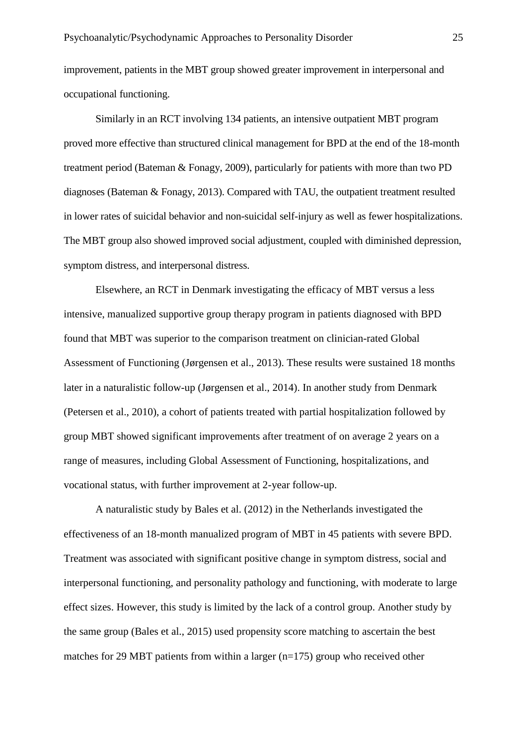improvement, patients in the MBT group showed greater improvement in interpersonal and occupational functioning.

Similarly in an RCT involving 134 patients, an intensive outpatient MBT program proved more effective than structured clinical management for BPD at the end of the 18-month treatment period (Bateman & Fonagy, 2009), particularly for patients with more than two PD diagnoses (Bateman & Fonagy, 2013). Compared with TAU, the outpatient treatment resulted in lower rates of suicidal behavior and non-suicidal self-injury as well as fewer hospitalizations. The MBT group also showed improved social adjustment, coupled with diminished depression, symptom distress, and interpersonal distress.

Elsewhere, an RCT in Denmark investigating the efficacy of MBT versus a less intensive, manualized supportive group therapy program in patients diagnosed with BPD found that MBT was superior to the comparison treatment on clinician-rated Global Assessment of Functioning (Jørgensen et al., 2013). These results were sustained 18 months later in a naturalistic follow-up (Jørgensen et al., 2014). In another study from Denmark (Petersen et al., 2010), a cohort of patients treated with partial hospitalization followed by group MBT showed significant improvements after treatment of on average 2 years on a range of measures, including Global Assessment of Functioning, hospitalizations, and vocational status, with further improvement at 2-year follow-up.

A naturalistic study by Bales et al. (2012) in the Netherlands investigated the effectiveness of an 18-month manualized program of MBT in 45 patients with severe BPD. Treatment was associated with significant positive change in symptom distress, social and interpersonal functioning, and personality pathology and functioning, with moderate to large effect sizes. However, this study is limited by the lack of a control group. Another study by the same group (Bales et al., 2015) used propensity score matching to ascertain the best matches for 29 MBT patients from within a larger  $(n=175)$  group who received other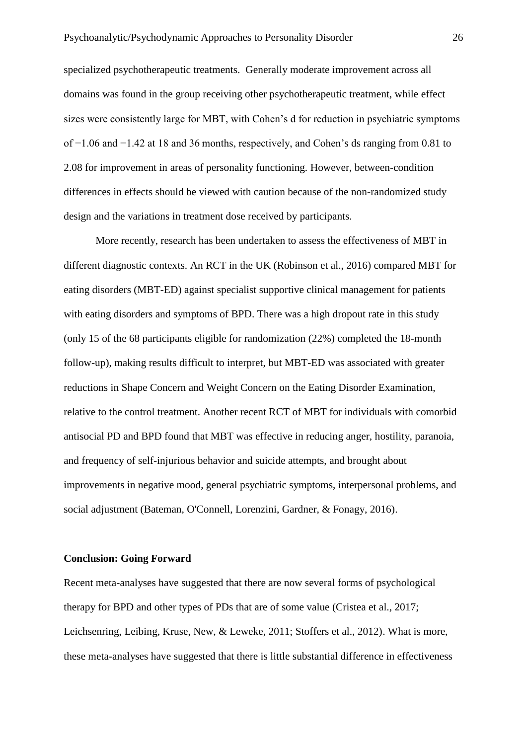specialized psychotherapeutic treatments. Generally moderate improvement across all domains was found in the group receiving other psychotherapeutic treatment, while effect sizes were consistently large for MBT, with Cohen's d for reduction in psychiatric symptoms of −1.06 and −1.42 at 18 and 36 months, respectively, and Cohen's ds ranging from 0.81 to 2.08 for improvement in areas of personality functioning. However, between-condition differences in effects should be viewed with caution because of the non-randomized study design and the variations in treatment dose received by participants.

More recently, research has been undertaken to assess the effectiveness of MBT in different diagnostic contexts. An RCT in the UK (Robinson et al., 2016) compared MBT for eating disorders (MBT-ED) against specialist supportive clinical management for patients with eating disorders and symptoms of BPD. There was a high dropout rate in this study (only 15 of the 68 participants eligible for randomization (22%) completed the 18-month follow-up), making results difficult to interpret, but MBT-ED was associated with greater reductions in Shape Concern and Weight Concern on the Eating Disorder Examination, relative to the control treatment. Another recent RCT of MBT for individuals with comorbid antisocial PD and BPD found that MBT was effective in reducing anger, hostility, paranoia, and frequency of self-injurious behavior and suicide attempts, and brought about improvements in negative mood, general psychiatric symptoms, interpersonal problems, and social adjustment (Bateman, O'Connell, Lorenzini, Gardner, & Fonagy, 2016).

#### **Conclusion: Going Forward**

Recent meta-analyses have suggested that there are now several forms of psychological therapy for BPD and other types of PDs that are of some value (Cristea et al., 2017; Leichsenring, Leibing, Kruse, New, & Leweke, 2011; Stoffers et al., 2012). What is more, these meta-analyses have suggested that there is little substantial difference in effectiveness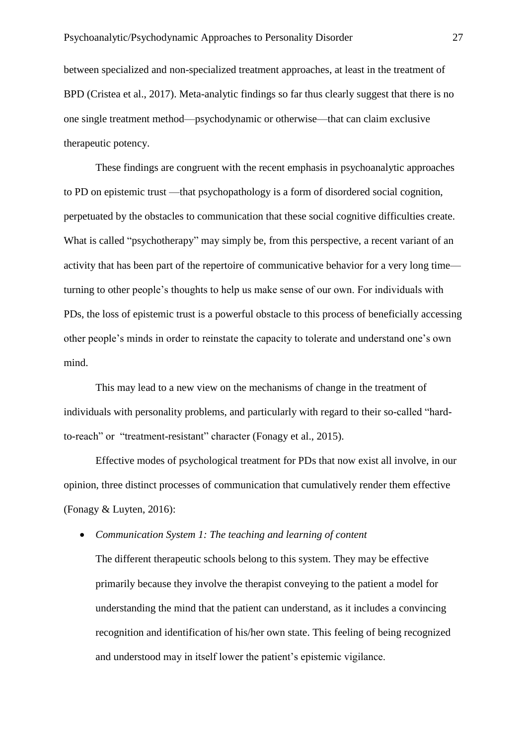between specialized and non-specialized treatment approaches, at least in the treatment of BPD (Cristea et al., 2017). Meta-analytic findings so far thus clearly suggest that there is no one single treatment method—psychodynamic or otherwise—that can claim exclusive therapeutic potency.

These findings are congruent with the recent emphasis in psychoanalytic approaches to PD on epistemic trust —that psychopathology is a form of disordered social cognition, perpetuated by the obstacles to communication that these social cognitive difficulties create. What is called "psychotherapy" may simply be, from this perspective, a recent variant of an activity that has been part of the repertoire of communicative behavior for a very long time turning to other people's thoughts to help us make sense of our own. For individuals with PDs, the loss of epistemic trust is a powerful obstacle to this process of beneficially accessing other people's minds in order to reinstate the capacity to tolerate and understand one's own mind.

This may lead to a new view on the mechanisms of change in the treatment of individuals with personality problems, and particularly with regard to their so-called "hardto-reach" or "treatment-resistant" character (Fonagy et al., 2015).

Effective modes of psychological treatment for PDs that now exist all involve, in our opinion, three distinct processes of communication that cumulatively render them effective (Fonagy & Luyten, 2016):

## *Communication System 1: The teaching and learning of content*

The different therapeutic schools belong to this system. They may be effective primarily because they involve the therapist conveying to the patient a model for understanding the mind that the patient can understand, as it includes a convincing recognition and identification of his/her own state. This feeling of being recognized and understood may in itself lower the patient's epistemic vigilance.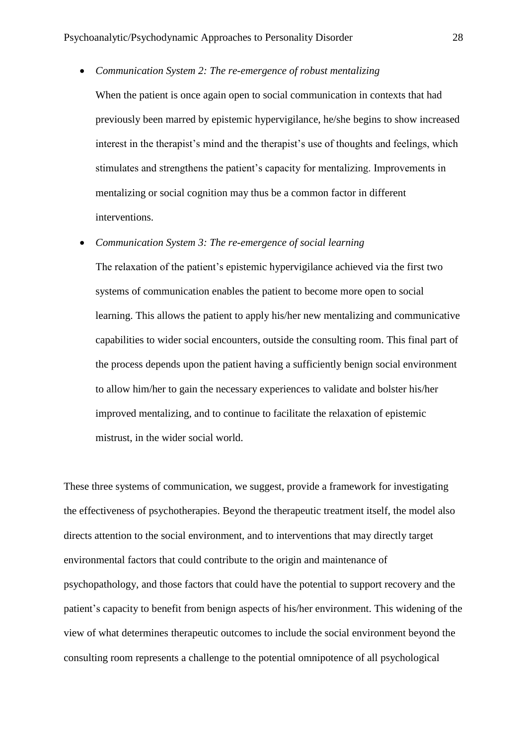### *Communication System 2: The re-emergence of robust mentalizing*

When the patient is once again open to social communication in contexts that had previously been marred by epistemic hypervigilance, he/she begins to show increased interest in the therapist's mind and the therapist's use of thoughts and feelings, which stimulates and strengthens the patient's capacity for mentalizing. Improvements in mentalizing or social cognition may thus be a common factor in different interventions.

*Communication System 3: The re-emergence of social learning*

The relaxation of the patient's epistemic hypervigilance achieved via the first two systems of communication enables the patient to become more open to social learning. This allows the patient to apply his/her new mentalizing and communicative capabilities to wider social encounters, outside the consulting room. This final part of the process depends upon the patient having a sufficiently benign social environment to allow him/her to gain the necessary experiences to validate and bolster his/her improved mentalizing, and to continue to facilitate the relaxation of epistemic mistrust, in the wider social world.

These three systems of communication, we suggest, provide a framework for investigating the effectiveness of psychotherapies. Beyond the therapeutic treatment itself, the model also directs attention to the social environment, and to interventions that may directly target environmental factors that could contribute to the origin and maintenance of psychopathology, and those factors that could have the potential to support recovery and the patient's capacity to benefit from benign aspects of his/her environment. This widening of the view of what determines therapeutic outcomes to include the social environment beyond the consulting room represents a challenge to the potential omnipotence of all psychological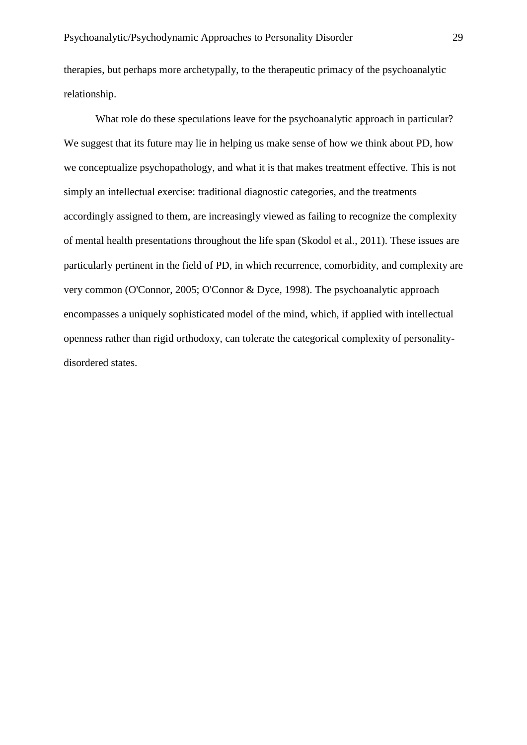therapies, but perhaps more archetypally, to the therapeutic primacy of the psychoanalytic relationship.

What role do these speculations leave for the psychoanalytic approach in particular? We suggest that its future may lie in helping us make sense of how we think about PD, how we conceptualize psychopathology, and what it is that makes treatment effective. This is not simply an intellectual exercise: traditional diagnostic categories, and the treatments accordingly assigned to them, are increasingly viewed as failing to recognize the complexity of mental health presentations throughout the life span (Skodol et al., 2011). These issues are particularly pertinent in the field of PD, in which recurrence, comorbidity, and complexity are very common (O'Connor, 2005; O'Connor & Dyce, 1998). The psychoanalytic approach encompasses a uniquely sophisticated model of the mind, which, if applied with intellectual openness rather than rigid orthodoxy, can tolerate the categorical complexity of personalitydisordered states.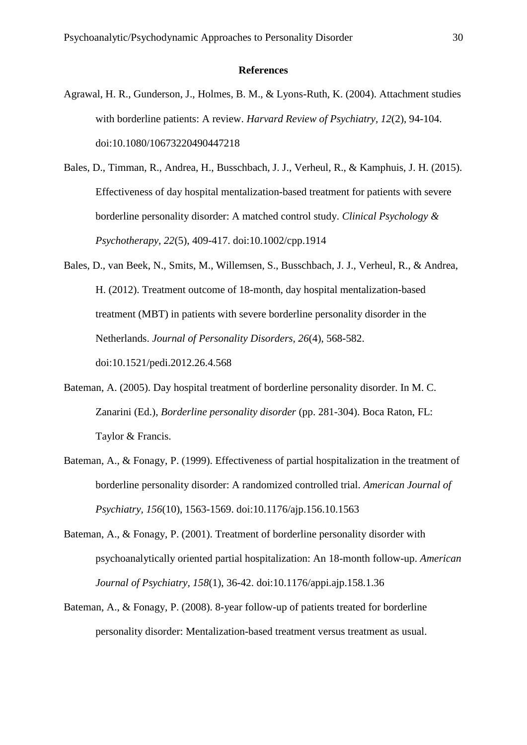#### **References**

- Agrawal, H. R., Gunderson, J., Holmes, B. M., & Lyons-Ruth, K. (2004). Attachment studies with borderline patients: A review. *Harvard Review of Psychiatry, 12*(2), 94-104. doi:10.1080/10673220490447218
- Bales, D., Timman, R., Andrea, H., Busschbach, J. J., Verheul, R., & Kamphuis, J. H. (2015). Effectiveness of day hospital mentalization-based treatment for patients with severe borderline personality disorder: A matched control study. *Clinical Psychology & Psychotherapy, 22*(5), 409-417. doi:10.1002/cpp.1914
- Bales, D., van Beek, N., Smits, M., Willemsen, S., Busschbach, J. J., Verheul, R., & Andrea, H. (2012). Treatment outcome of 18-month, day hospital mentalization-based treatment (MBT) in patients with severe borderline personality disorder in the Netherlands. *Journal of Personality Disorders, 26*(4), 568-582. doi:10.1521/pedi.2012.26.4.568
- Bateman, A. (2005). Day hospital treatment of borderline personality disorder. In M. C. Zanarini (Ed.), *Borderline personality disorder* (pp. 281-304). Boca Raton, FL: Taylor & Francis.
- Bateman, A., & Fonagy, P. (1999). Effectiveness of partial hospitalization in the treatment of borderline personality disorder: A randomized controlled trial. *American Journal of Psychiatry, 156*(10), 1563-1569. doi:10.1176/ajp.156.10.1563
- Bateman, A., & Fonagy, P. (2001). Treatment of borderline personality disorder with psychoanalytically oriented partial hospitalization: An 18-month follow-up. *American Journal of Psychiatry, 158*(1), 36-42. doi:10.1176/appi.ajp.158.1.36
- Bateman, A., & Fonagy, P. (2008). 8-year follow-up of patients treated for borderline personality disorder: Mentalization-based treatment versus treatment as usual.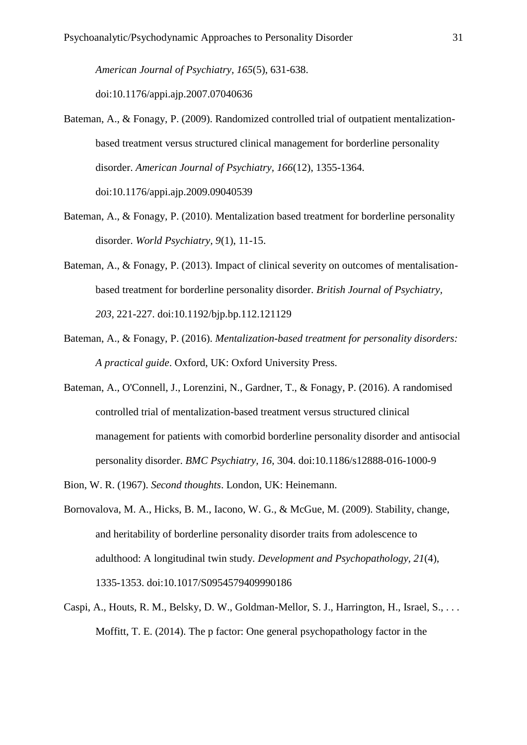*American Journal of Psychiatry, 165*(5), 631-638. doi:10.1176/appi.ajp.2007.07040636

- Bateman, A., & Fonagy, P. (2009). Randomized controlled trial of outpatient mentalizationbased treatment versus structured clinical management for borderline personality disorder. *American Journal of Psychiatry, 166*(12), 1355-1364. doi:10.1176/appi.ajp.2009.09040539
- Bateman, A., & Fonagy, P. (2010). Mentalization based treatment for borderline personality disorder. *World Psychiatry, 9*(1), 11-15.
- Bateman, A., & Fonagy, P. (2013). Impact of clinical severity on outcomes of mentalisationbased treatment for borderline personality disorder. *British Journal of Psychiatry, 203*, 221-227. doi:10.1192/bjp.bp.112.121129
- Bateman, A., & Fonagy, P. (2016). *Mentalization-based treatment for personality disorders: A practical guide*. Oxford, UK: Oxford University Press.
- Bateman, A., O'Connell, J., Lorenzini, N., Gardner, T., & Fonagy, P. (2016). A randomised controlled trial of mentalization-based treatment versus structured clinical management for patients with comorbid borderline personality disorder and antisocial personality disorder. *BMC Psychiatry, 16*, 304. doi:10.1186/s12888-016-1000-9
- Bion, W. R. (1967). *Second thoughts*. London, UK: Heinemann.
- Bornovalova, M. A., Hicks, B. M., Iacono, W. G., & McGue, M. (2009). Stability, change, and heritability of borderline personality disorder traits from adolescence to adulthood: A longitudinal twin study. *Development and Psychopathology, 21*(4), 1335-1353. doi:10.1017/S0954579409990186
- Caspi, A., Houts, R. M., Belsky, D. W., Goldman-Mellor, S. J., Harrington, H., Israel, S., . . . Moffitt, T. E. (2014). The p factor: One general psychopathology factor in the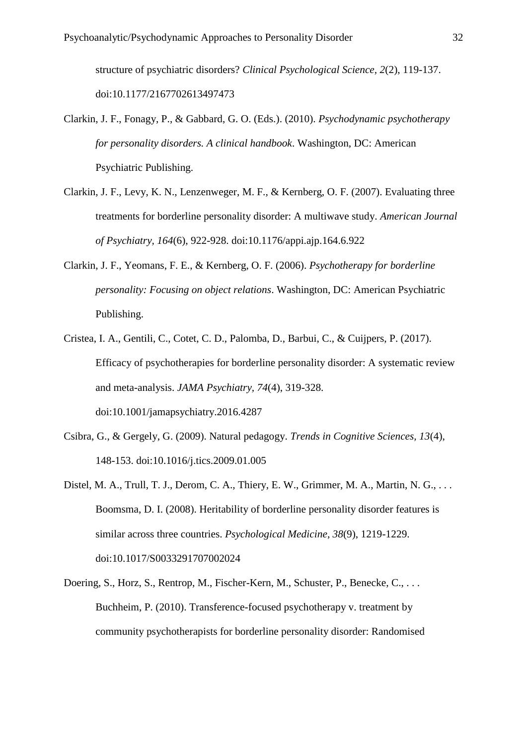structure of psychiatric disorders? *Clinical Psychological Science, 2*(2), 119-137. doi:10.1177/2167702613497473

- Clarkin, J. F., Fonagy, P., & Gabbard, G. O. (Eds.). (2010). *Psychodynamic psychotherapy for personality disorders. A clinical handbook*. Washington, DC: American Psychiatric Publishing.
- Clarkin, J. F., Levy, K. N., Lenzenweger, M. F., & Kernberg, O. F. (2007). Evaluating three treatments for borderline personality disorder: A multiwave study. *American Journal of Psychiatry, 164*(6), 922-928. doi:10.1176/appi.ajp.164.6.922
- Clarkin, J. F., Yeomans, F. E., & Kernberg, O. F. (2006). *Psychotherapy for borderline personality: Focusing on object relations*. Washington, DC: American Psychiatric Publishing.
- Cristea, I. A., Gentili, C., Cotet, C. D., Palomba, D., Barbui, C., & Cuijpers, P. (2017). Efficacy of psychotherapies for borderline personality disorder: A systematic review and meta-analysis. *JAMA Psychiatry, 74*(4), 319-328. doi:10.1001/jamapsychiatry.2016.4287
- Csibra, G., & Gergely, G. (2009). Natural pedagogy. *Trends in Cognitive Sciences, 13*(4), 148-153. doi:10.1016/j.tics.2009.01.005
- Distel, M. A., Trull, T. J., Derom, C. A., Thiery, E. W., Grimmer, M. A., Martin, N. G., . . . Boomsma, D. I. (2008). Heritability of borderline personality disorder features is similar across three countries. *Psychological Medicine, 38*(9), 1219-1229. doi:10.1017/S0033291707002024
- Doering, S., Horz, S., Rentrop, M., Fischer-Kern, M., Schuster, P., Benecke, C., ... Buchheim, P. (2010). Transference-focused psychotherapy v. treatment by community psychotherapists for borderline personality disorder: Randomised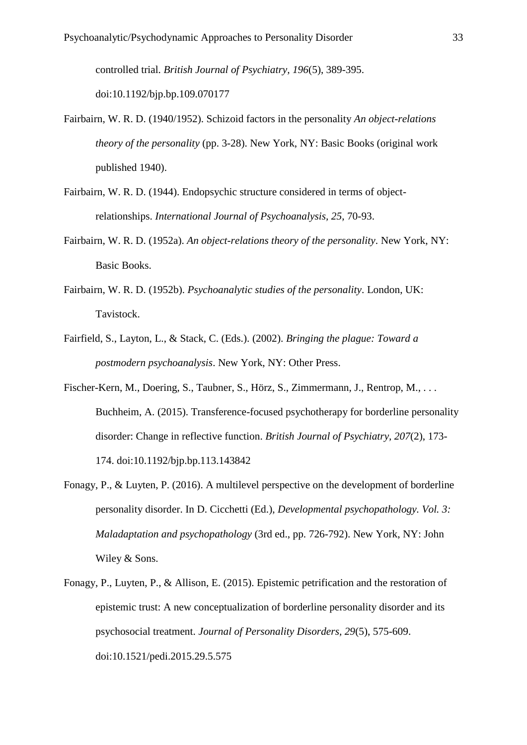controlled trial. *British Journal of Psychiatry, 196*(5), 389-395. doi:10.1192/bjp.bp.109.070177

- Fairbairn, W. R. D. (1940/1952). Schizoid factors in the personality *An object-relations theory of the personality* (pp. 3-28). New York, NY: Basic Books (original work published 1940).
- Fairbairn, W. R. D. (1944). Endopsychic structure considered in terms of objectrelationships. *International Journal of Psychoanalysis, 25*, 70-93.
- Fairbairn, W. R. D. (1952a). *An object-relations theory of the personality*. New York, NY: Basic Books.
- Fairbairn, W. R. D. (1952b). *Psychoanalytic studies of the personality*. London, UK: Tavistock.
- Fairfield, S., Layton, L., & Stack, C. (Eds.). (2002). *Bringing the plague: Toward a postmodern psychoanalysis*. New York, NY: Other Press.
- Fischer-Kern, M., Doering, S., Taubner, S., Hörz, S., Zimmermann, J., Rentrop, M., . . . Buchheim, A. (2015). Transference-focused psychotherapy for borderline personality disorder: Change in reflective function. *British Journal of Psychiatry, 207*(2), 173- 174. doi:10.1192/bjp.bp.113.143842
- Fonagy, P., & Luyten, P. (2016). A multilevel perspective on the development of borderline personality disorder. In D. Cicchetti (Ed.), *Developmental psychopathology. Vol. 3: Maladaptation and psychopathology* (3rd ed., pp. 726-792). New York, NY: John Wiley & Sons.
- Fonagy, P., Luyten, P., & Allison, E. (2015). Epistemic petrification and the restoration of epistemic trust: A new conceptualization of borderline personality disorder and its psychosocial treatment. *Journal of Personality Disorders, 29*(5), 575-609. doi:10.1521/pedi.2015.29.5.575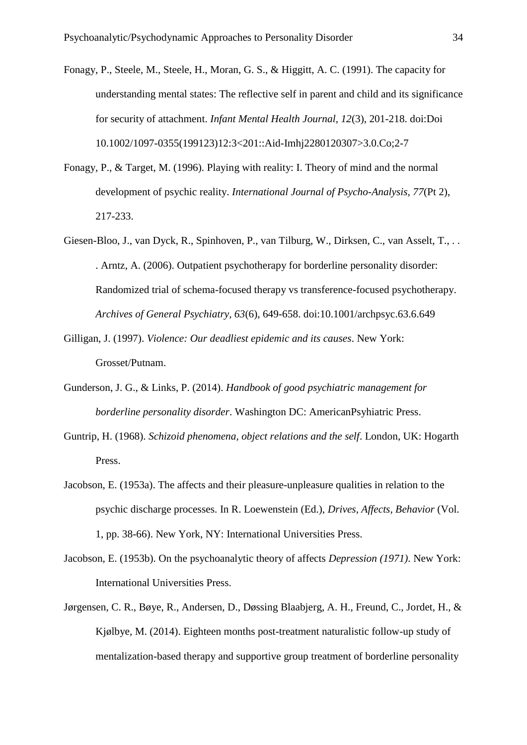- Fonagy, P., Steele, M., Steele, H., Moran, G. S., & Higgitt, A. C. (1991). The capacity for understanding mental states: The reflective self in parent and child and its significance for security of attachment. *Infant Mental Health Journal, 12*(3), 201-218. doi:Doi 10.1002/1097-0355(199123)12:3<201::Aid-Imhj2280120307>3.0.Co;2-7
- Fonagy, P., & Target, M. (1996). Playing with reality: I. Theory of mind and the normal development of psychic reality. *International Journal of Psycho-Analysis, 77*(Pt 2), 217-233.
- Giesen-Bloo, J., van Dyck, R., Spinhoven, P., van Tilburg, W., Dirksen, C., van Asselt, T., . . . Arntz, A. (2006). Outpatient psychotherapy for borderline personality disorder: Randomized trial of schema-focused therapy vs transference-focused psychotherapy. *Archives of General Psychiatry, 63*(6), 649-658. doi:10.1001/archpsyc.63.6.649
- Gilligan, J. (1997). *Violence: Our deadliest epidemic and its causes*. New York: Grosset/Putnam.
- Gunderson, J. G., & Links, P. (2014). *Handbook of good psychiatric management for borderline personality disorder*. Washington DC: AmericanPsyhiatric Press.
- Guntrip, H. (1968). *Schizoid phenomena, object relations and the self*. London, UK: Hogarth Press.
- Jacobson, E. (1953a). The affects and their pleasure-unpleasure qualities in relation to the psychic discharge processes. In R. Loewenstein (Ed.), *Drives, Affects, Behavior* (Vol. 1, pp. 38-66). New York, NY: International Universities Press.
- Jacobson, E. (1953b). On the psychoanalytic theory of affects *Depression (1971)*. New York: International Universities Press.
- Jørgensen, C. R., Bøye, R., Andersen, D., Døssing Blaabjerg, A. H., Freund, C., Jordet, H., & Kjølbye, M. (2014). Eighteen months post-treatment naturalistic follow-up study of mentalization-based therapy and supportive group treatment of borderline personality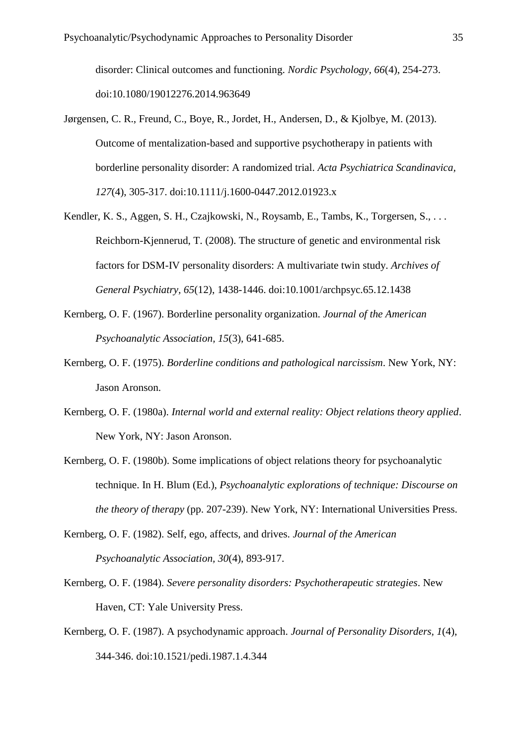disorder: Clinical outcomes and functioning. *Nordic Psychology, 66*(4), 254-273. doi:10.1080/19012276.2014.963649

- Jørgensen, C. R., Freund, C., Boye, R., Jordet, H., Andersen, D., & Kjolbye, M. (2013). Outcome of mentalization-based and supportive psychotherapy in patients with borderline personality disorder: A randomized trial. *Acta Psychiatrica Scandinavica, 127*(4), 305-317. doi:10.1111/j.1600-0447.2012.01923.x
- Kendler, K. S., Aggen, S. H., Czajkowski, N., Roysamb, E., Tambs, K., Torgersen, S., ... Reichborn-Kjennerud, T. (2008). The structure of genetic and environmental risk factors for DSM-IV personality disorders: A multivariate twin study. *Archives of General Psychiatry, 65*(12), 1438-1446. doi:10.1001/archpsyc.65.12.1438
- Kernberg, O. F. (1967). Borderline personality organization. *Journal of the American Psychoanalytic Association, 15*(3), 641-685.
- Kernberg, O. F. (1975). *Borderline conditions and pathological narcissism*. New York, NY: Jason Aronson.
- Kernberg, O. F. (1980a). *Internal world and external reality: Object relations theory applied*. New York, NY: Jason Aronson.
- Kernberg, O. F. (1980b). Some implications of object relations theory for psychoanalytic technique. In H. Blum (Ed.), *Psychoanalytic explorations of technique: Discourse on the theory of therapy* (pp. 207-239). New York, NY: International Universities Press.
- Kernberg, O. F. (1982). Self, ego, affects, and drives. *Journal of the American Psychoanalytic Association, 30*(4), 893-917.
- Kernberg, O. F. (1984). *Severe personality disorders: Psychotherapeutic strategies*. New Haven, CT: Yale University Press.
- Kernberg, O. F. (1987). A psychodynamic approach. *Journal of Personality Disorders, 1*(4), 344-346. doi:10.1521/pedi.1987.1.4.344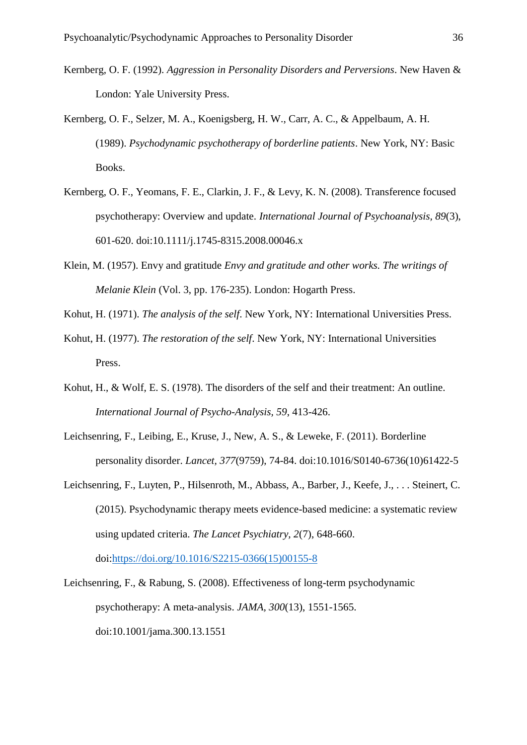- Kernberg, O. F. (1992). *Aggression in Personality Disorders and Perversions*. New Haven & London: Yale University Press.
- Kernberg, O. F., Selzer, M. A., Koenigsberg, H. W., Carr, A. C., & Appelbaum, A. H. (1989). *Psychodynamic psychotherapy of borderline patients*. New York, NY: Basic Books.
- Kernberg, O. F., Yeomans, F. E., Clarkin, J. F., & Levy, K. N. (2008). Transference focused psychotherapy: Overview and update. *International Journal of Psychoanalysis, 89*(3), 601-620. doi:10.1111/j.1745-8315.2008.00046.x
- Klein, M. (1957). Envy and gratitude *Envy and gratitude and other works. The writings of Melanie Klein* (Vol. 3, pp. 176-235). London: Hogarth Press.
- Kohut, H. (1971). *The analysis of the self*. New York, NY: International Universities Press.
- Kohut, H. (1977). *The restoration of the self*. New York, NY: International Universities Press.
- Kohut, H., & Wolf, E. S. (1978). The disorders of the self and their treatment: An outline. *International Journal of Psycho-Analysis, 59*, 413-426.
- Leichsenring, F., Leibing, E., Kruse, J., New, A. S., & Leweke, F. (2011). Borderline personality disorder. *Lancet, 377*(9759), 74-84. doi:10.1016/S0140-6736(10)61422-5
- Leichsenring, F., Luyten, P., Hilsenroth, M., Abbass, A., Barber, J., Keefe, J., . . . Steinert, C. (2015). Psychodynamic therapy meets evidence-based medicine: a systematic review using updated criteria. *The Lancet Psychiatry, 2*(7), 648-660.

doi[:https://doi.org/10.1016/S2215-0366\(15\)00155-8](https://doi.org/10.1016/S2215-0366(15)00155-8)

Leichsenring, F., & Rabung, S. (2008). Effectiveness of long-term psychodynamic psychotherapy: A meta-analysis. *JAMA, 300*(13), 1551-1565. doi:10.1001/jama.300.13.1551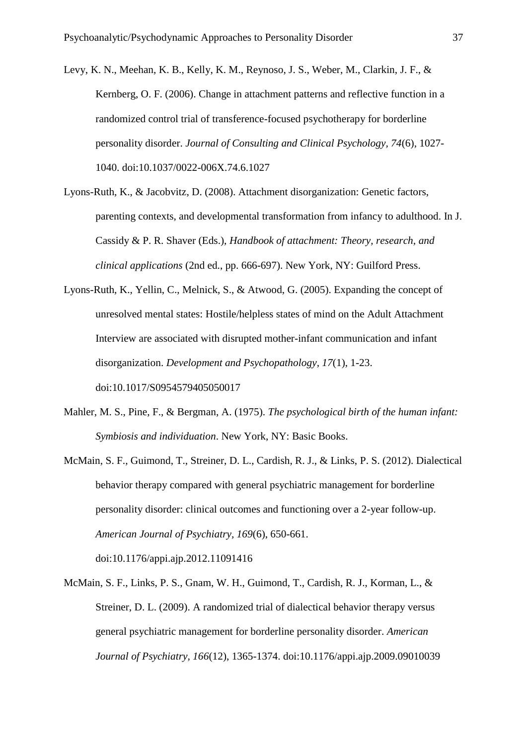Levy, K. N., Meehan, K. B., Kelly, K. M., Reynoso, J. S., Weber, M., Clarkin, J. F., & Kernberg, O. F. (2006). Change in attachment patterns and reflective function in a randomized control trial of transference-focused psychotherapy for borderline personality disorder. *Journal of Consulting and Clinical Psychology, 74*(6), 1027- 1040. doi:10.1037/0022-006X.74.6.1027

Lyons-Ruth, K., & Jacobvitz, D. (2008). Attachment disorganization: Genetic factors, parenting contexts, and developmental transformation from infancy to adulthood. In J. Cassidy & P. R. Shaver (Eds.), *Handbook of attachment: Theory, research, and clinical applications* (2nd ed., pp. 666-697). New York, NY: Guilford Press.

- Lyons-Ruth, K., Yellin, C., Melnick, S., & Atwood, G. (2005). Expanding the concept of unresolved mental states: Hostile/helpless states of mind on the Adult Attachment Interview are associated with disrupted mother-infant communication and infant disorganization. *Development and Psychopathology, 17*(1), 1-23. doi:10.1017/S0954579405050017
- Mahler, M. S., Pine, F., & Bergman, A. (1975). *The psychological birth of the human infant: Symbiosis and individuation*. New York, NY: Basic Books.
- McMain, S. F., Guimond, T., Streiner, D. L., Cardish, R. J., & Links, P. S. (2012). Dialectical behavior therapy compared with general psychiatric management for borderline personality disorder: clinical outcomes and functioning over a 2-year follow-up. *American Journal of Psychiatry, 169*(6), 650-661.

doi:10.1176/appi.ajp.2012.11091416

McMain, S. F., Links, P. S., Gnam, W. H., Guimond, T., Cardish, R. J., Korman, L., & Streiner, D. L. (2009). A randomized trial of dialectical behavior therapy versus general psychiatric management for borderline personality disorder. *American Journal of Psychiatry, 166*(12), 1365-1374. doi:10.1176/appi.ajp.2009.09010039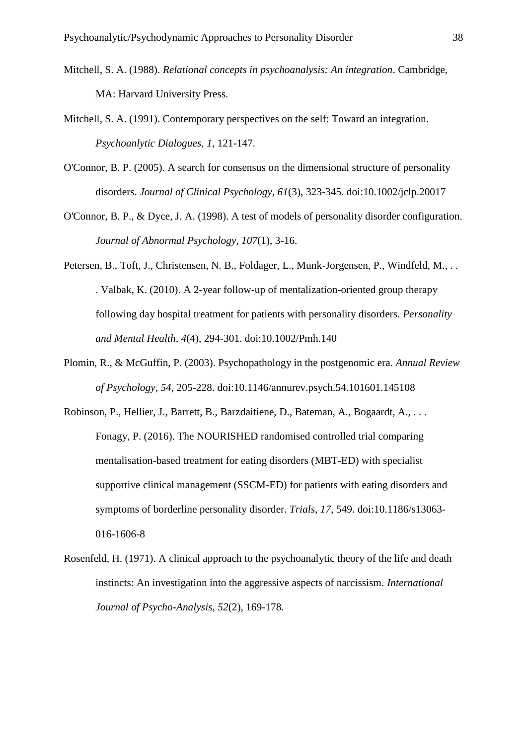- Mitchell, S. A. (1988). *Relational concepts in psychoanalysis: An integration*. Cambridge, MA: Harvard University Press.
- Mitchell, S. A. (1991). Contemporary perspectives on the self: Toward an integration. *Psychoanlytic Dialogues, 1*, 121-147.
- O'Connor, B. P. (2005). A search for consensus on the dimensional structure of personality disorders. *Journal of Clinical Psychology, 61*(3), 323-345. doi:10.1002/jclp.20017
- O'Connor, B. P., & Dyce, J. A. (1998). A test of models of personality disorder configuration. *Journal of Abnormal Psychology, 107*(1), 3-16.
- Petersen, B., Toft, J., Christensen, N. B., Foldager, L., Munk-Jorgensen, P., Windfeld, M., .. . Valbak, K. (2010). A 2-year follow-up of mentalization-oriented group therapy following day hospital treatment for patients with personality disorders. *Personality and Mental Health, 4*(4), 294-301. doi:10.1002/Pmh.140
- Plomin, R., & McGuffin, P. (2003). Psychopathology in the postgenomic era. *Annual Review of Psychology, 54*, 205-228. doi:10.1146/annurev.psych.54.101601.145108
- Robinson, P., Hellier, J., Barrett, B., Barzdaitiene, D., Bateman, A., Bogaardt, A., . . . Fonagy, P. (2016). The NOURISHED randomised controlled trial comparing mentalisation-based treatment for eating disorders (MBT-ED) with specialist supportive clinical management (SSCM-ED) for patients with eating disorders and symptoms of borderline personality disorder. *Trials, 17*, 549. doi:10.1186/s13063- 016-1606-8
- Rosenfeld, H. (1971). A clinical approach to the psychoanalytic theory of the life and death instincts: An investigation into the aggressive aspects of narcissism. *International Journal of Psycho-Analysis, 52*(2), 169-178.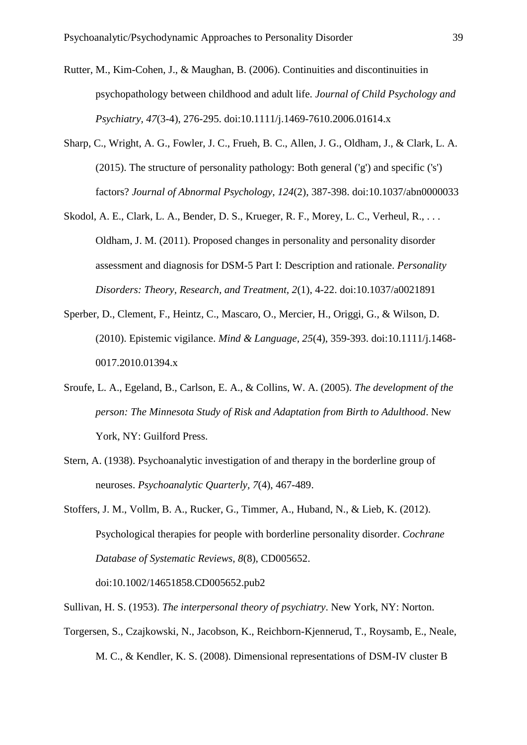- Rutter, M., Kim-Cohen, J., & Maughan, B. (2006). Continuities and discontinuities in psychopathology between childhood and adult life. *Journal of Child Psychology and Psychiatry, 47*(3-4), 276-295. doi:10.1111/j.1469-7610.2006.01614.x
- Sharp, C., Wright, A. G., Fowler, J. C., Frueh, B. C., Allen, J. G., Oldham, J., & Clark, L. A. (2015). The structure of personality pathology: Both general ('g') and specific ('s') factors? *Journal of Abnormal Psychology, 124*(2), 387-398. doi:10.1037/abn0000033
- Skodol, A. E., Clark, L. A., Bender, D. S., Krueger, R. F., Morey, L. C., Verheul, R., ... Oldham, J. M. (2011). Proposed changes in personality and personality disorder assessment and diagnosis for DSM-5 Part I: Description and rationale. *Personality Disorders: Theory, Research, and Treatment, 2*(1), 4-22. doi:10.1037/a0021891
- Sperber, D., Clement, F., Heintz, C., Mascaro, O., Mercier, H., Origgi, G., & Wilson, D. (2010). Epistemic vigilance. *Mind & Language, 25*(4), 359-393. doi:10.1111/j.1468- 0017.2010.01394.x
- Sroufe, L. A., Egeland, B., Carlson, E. A., & Collins, W. A. (2005). *The development of the person: The Minnesota Study of Risk and Adaptation from Birth to Adulthood*. New York, NY: Guilford Press.
- Stern, A. (1938). Psychoanalytic investigation of and therapy in the borderline group of neuroses. *Psychoanalytic Quarterly, 7*(4), 467-489.
- Stoffers, J. M., Vollm, B. A., Rucker, G., Timmer, A., Huband, N., & Lieb, K. (2012). Psychological therapies for people with borderline personality disorder. *Cochrane Database of Systematic Reviews, 8*(8), CD005652.

doi:10.1002/14651858.CD005652.pub2

Sullivan, H. S. (1953). *The interpersonal theory of psychiatry*. New York, NY: Norton.

Torgersen, S., Czajkowski, N., Jacobson, K., Reichborn-Kjennerud, T., Roysamb, E., Neale, M. C., & Kendler, K. S. (2008). Dimensional representations of DSM-IV cluster B